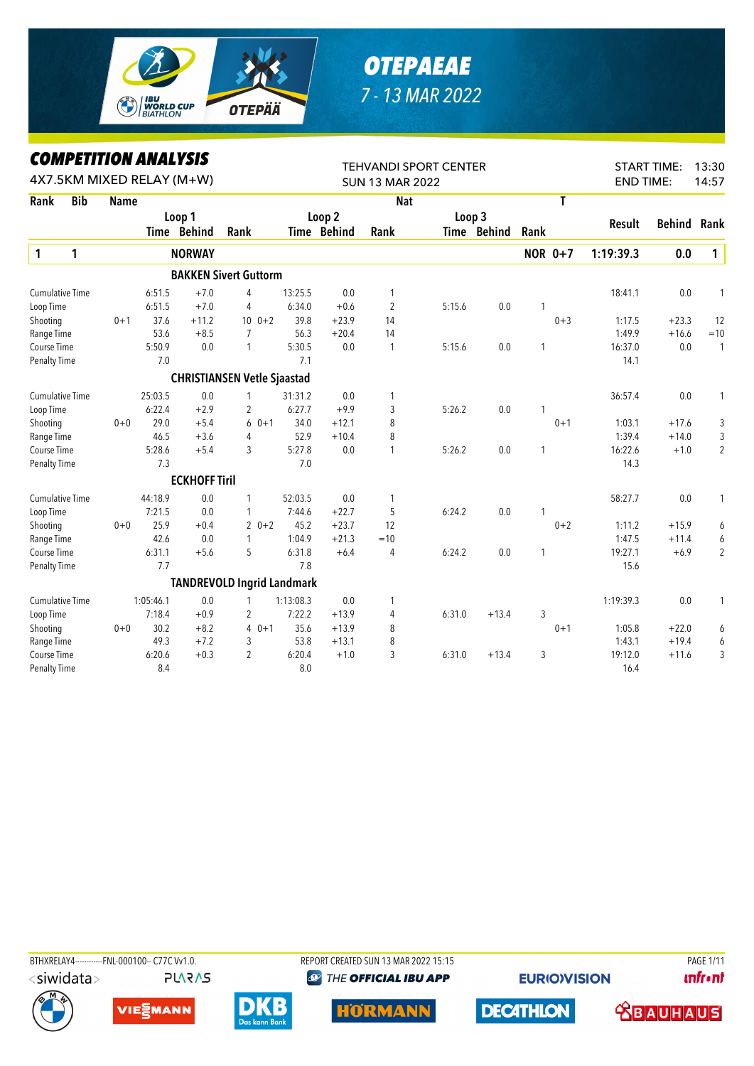

## *OTEPAEAE 7 - 13 MAR 2022*

*COMPETITION ANALYSIS*

|                        |            | LUMPEIIIIUN ANALIƏIƏ |           |                           |                                    |           |             | <b>TEHVANDI SPORT CENTER</b> |        |             |              |                |                  | <b>START TIME:</b> | 13:30          |
|------------------------|------------|----------------------|-----------|---------------------------|------------------------------------|-----------|-------------|------------------------------|--------|-------------|--------------|----------------|------------------|--------------------|----------------|
|                        |            |                      |           | 4X7.5KM MIXED RELAY (M+W) |                                    |           |             | <b>SUN 13 MAR 2022</b>       |        |             |              |                | <b>END TIME:</b> |                    | 14:57          |
| Rank                   | <b>Bib</b> | <b>Name</b>          |           |                           |                                    |           |             | <b>Nat</b>                   |        |             |              | T              |                  |                    |                |
|                        |            |                      |           | Loop 1                    |                                    |           | Loop 2      |                              | Loop 3 |             |              |                | Result           | Behind             | Rank           |
|                        |            |                      |           | Time Behind               | Rank                               |           | Time Behind | Rank                         |        | Time Behind | Rank         |                |                  |                    |                |
| 1                      | 1          |                      |           | <b>NORWAY</b>             |                                    |           |             |                              |        |             |              | <b>NOR 0+7</b> | 1:19:39.3        | 0.0                | $\mathbf 1$    |
|                        |            |                      |           |                           | <b>BAKKEN Sivert Guttorm</b>       |           |             |                              |        |             |              |                |                  |                    |                |
| <b>Cumulative Time</b> |            |                      | 6:51.5    | $+7.0$                    | 4                                  | 13:25.5   | 0.0         | 1                            |        |             |              |                | 18:41.1          | 0.0                | 1              |
| Loop Time              |            |                      | 6:51.5    | $+7.0$                    | 4                                  | 6:34.0    | $+0.6$      | $\overline{2}$               | 5:15.6 | 0.0         | 1            |                |                  |                    |                |
| Shooting               |            | $0 + 1$              | 37.6      | $+11.2$                   | $10 \t 0+2$                        | 39.8      | $+23.9$     | 14                           |        |             |              | $0 + 3$        | 1:17.5           | $+23.3$            | 12             |
| Range Time             |            |                      | 53.6      | $+8.5$                    | 7                                  | 56.3      | $+20.4$     | 14                           |        |             |              |                | 1:49.9           | $+16.6$            | $=10$          |
| Course Time            |            |                      | 5:50.9    | 0.0                       | $\mathbf{1}$                       | 5:30.5    | 0.0         | 1                            | 5:15.6 | 0.0         | $\mathbf{1}$ |                | 16:37.0          | 0.0                | 1              |
| Penalty Time           |            |                      | 7.0       |                           |                                    | 7.1       |             |                              |        |             |              |                | 14.1             |                    |                |
|                        |            |                      |           |                           | <b>CHRISTIANSEN Vetle Sjaastad</b> |           |             |                              |        |             |              |                |                  |                    |                |
| <b>Cumulative Time</b> |            |                      | 25:03.5   | 0.0                       | 1                                  | 31:31.2   | 0.0         | 1                            |        |             |              |                | 36:57.4          | 0.0                |                |
| Loop Time              |            |                      | 6:22.4    | $+2.9$                    | 2                                  | 6:27.7    | $+9.9$      | 3                            | 5:26.2 | 0.0         | 1            |                |                  |                    |                |
| Shooting               |            | $0 + 0$              | 29.0      | $+5.4$                    | $60+1$                             | 34.0      | $+12.1$     | 8                            |        |             |              | $0 + 1$        | 1:03.1           | $+17.6$            | 3              |
| Range Time             |            |                      | 46.5      | $+3.6$                    | 4                                  | 52.9      | $+10.4$     | 8                            |        |             |              |                | 1:39.4           | $+14.0$            | 3              |
| Course Time            |            |                      | 5:28.6    | $+5.4$                    | 3                                  | 5:27.8    | 0.0         | 1                            | 5:26.2 | 0.0         | 1            |                | 16:22.6          | $+1.0$             | $\overline{2}$ |
| <b>Penalty Time</b>    |            |                      | 7.3       |                           |                                    | 7.0       |             |                              |        |             |              |                | 14.3             |                    |                |
|                        |            |                      |           | <b>ECKHOFF Tiril</b>      |                                    |           |             |                              |        |             |              |                |                  |                    |                |
| <b>Cumulative Time</b> |            |                      | 44:18.9   | 0.0                       | 1                                  | 52:03.5   | 0.0         | 1                            |        |             |              |                | 58:27.7          | 0.0                | 1              |
| Loop Time              |            |                      | 7:21.5    | 0.0                       | 1                                  | 7:44.6    | $+22.7$     | 5                            | 6:24.2 | 0.0         | 1            |                |                  |                    |                |
| Shooting               |            | $0 + 0$              | 25.9      | $+0.4$                    | $20+2$                             | 45.2      | $+23.7$     | 12                           |        |             |              | $0 + 2$        | 1:11.2           | $+15.9$            | 6              |
| Range Time             |            |                      | 42.6      | 0.0                       | $\mathbf{1}$                       | 1:04.9    | $+21.3$     | $=10$                        |        |             |              |                | 1:47.5           | $+11.4$            | 6              |
| Course Time            |            |                      | 6:31.1    | $+5.6$                    | 5                                  | 6:31.8    | $+6.4$      | 4                            | 6:24.2 | 0.0         | $\mathbf{1}$ |                | 19:27.1          | $+6.9$             | $\overline{2}$ |
| Penalty Time           |            |                      | 7.7       |                           |                                    | 7.8       |             |                              |        |             |              |                | 15.6             |                    |                |
|                        |            |                      |           |                           | <b>TANDREVOLD Ingrid Landmark</b>  |           |             |                              |        |             |              |                |                  |                    |                |
| <b>Cumulative Time</b> |            |                      | 1:05:46.1 | 0.0                       | 1                                  | 1:13:08.3 | 0.0         | 1                            |        |             |              |                | 1:19:39.3        | 0.0                | 1              |
| Loop Time              |            |                      | 7:18.4    | $+0.9$                    | 2                                  | 7:22.2    | $+13.9$     | 4                            | 6:31.0 | $+13.4$     | 3            |                |                  |                    |                |
| Shooting               |            | $0 + 0$              | 30.2      | $+8.2$                    | $40+1$                             | 35.6      | $+13.9$     | 8                            |        |             |              | $0 + 1$        | 1:05.8           | $+22.0$            | 6              |
| Range Time             |            |                      | 49.3      | $+7.2$                    | 3                                  | 53.8      | $+13.1$     | 8                            |        |             |              |                | 1:43.1           | $+19.4$            | 6              |
| Course Time            |            |                      | 6:20.6    | $+0.3$                    | $\overline{c}$                     | 6:20.4    | $+1.0$      | 3                            | 6:31.0 | $+13.4$     | 3            |                | 19:12.0          | $+11.6$            | 3              |
| Penalty Time           |            |                      | 8.4       |                           |                                    | 8.0       |             |                              |        |             |              |                | 16.4             |                    |                |

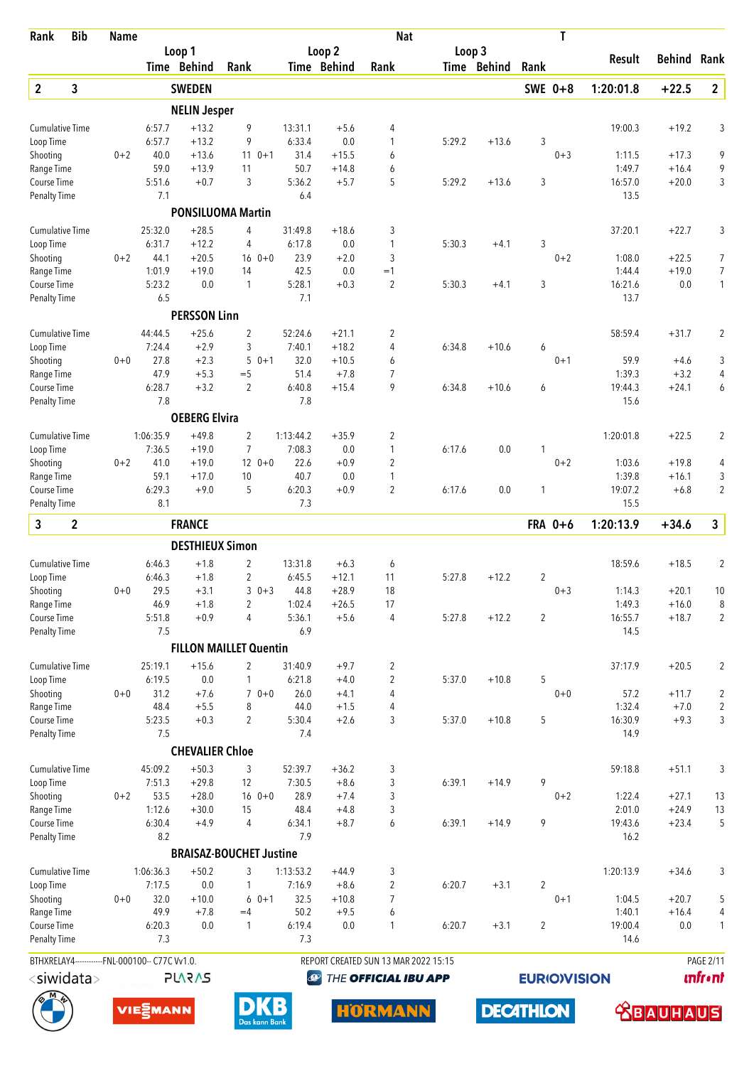| Rank                                | <b>Bib</b>       | <b>Name</b>                                    |                   |                        |                                |                   |                   | <b>Nat</b>                           |        |             |                | T                   |                 |                  |                  |
|-------------------------------------|------------------|------------------------------------------------|-------------------|------------------------|--------------------------------|-------------------|-------------------|--------------------------------------|--------|-------------|----------------|---------------------|-----------------|------------------|------------------|
|                                     |                  |                                                |                   | Loop 1                 |                                |                   | Loop <sub>2</sub> |                                      | Loop 3 |             |                |                     | Result          | Behind           | Rank             |
|                                     |                  |                                                |                   | Time Behind            | Rank                           |                   | Time Behind       | Rank                                 |        | Time Behind | Rank           |                     |                 |                  |                  |
| $\overline{2}$                      | 3                |                                                |                   | <b>SWEDEN</b>          |                                |                   |                   |                                      |        |             | SWE 0+8        |                     | 1:20:01.8       | $+22.5$          | $\overline{2}$   |
|                                     |                  |                                                |                   | <b>NELIN Jesper</b>    |                                |                   |                   |                                      |        |             |                |                     |                 |                  |                  |
| <b>Cumulative Time</b><br>Loop Time |                  |                                                | 6:57.7<br>6:57.7  | $+13.2$<br>$+13.2$     | 9<br>9                         | 13:31.1<br>6:33.4 | $+5.6$<br>0.0     | 4<br>1                               | 5:29.2 | $+13.6$     | 3              |                     | 19:00.3         | $+19.2$          | 3                |
| Shooting                            |                  | $0 + 2$                                        | 40.0              | $+13.6$                | $110+1$                        | 31.4              | $+15.5$           | 6                                    |        |             |                | $0 + 3$             | 1:11.5          | $+17.3$          | 9                |
| Range Time                          |                  |                                                | 59.0              | $+13.9$                | 11                             | 50.7              | $+14.8$           | 6                                    |        |             |                |                     | 1:49.7          | $+16.4$          | 9                |
| Course Time                         |                  |                                                | 5:51.6            | $+0.7$                 | 3                              | 5:36.2            | $+5.7$            | 5                                    | 5:29.2 | $+13.6$     | 3              |                     | 16:57.0         | $+20.0$          | 3                |
| <b>Penalty Time</b>                 |                  |                                                | 7.1               |                        |                                | 6.4               |                   |                                      |        |             |                |                     | 13.5            |                  |                  |
|                                     |                  |                                                |                   |                        | <b>PONSILUOMA Martin</b>       |                   |                   |                                      |        |             |                |                     |                 |                  |                  |
| <b>Cumulative Time</b>              |                  |                                                | 25:32.0           | $+28.5$                | 4                              | 31:49.8           | $+18.6$           | 3                                    |        |             |                |                     | 37:20.1         | $+22.7$          | 3                |
| Loop Time<br>Shooting               |                  | $0 + 2$                                        | 6:31.7<br>44.1    | $+12.2$<br>$+20.5$     | 4<br>$160+0$                   | 6:17.8<br>23.9    | 0.0<br>$+2.0$     | $\mathbf{1}$<br>3                    | 5:30.3 | $+4.1$      | 3              | $0 + 2$             | 1:08.0          | $+22.5$          | 7                |
| Range Time                          |                  |                                                | 1:01.9            | $+19.0$                | 14                             | 42.5              | 0.0               | $=1$                                 |        |             |                |                     | 1:44.4          | $+19.0$          | $\overline{7}$   |
| Course Time                         |                  |                                                | 5:23.2            | 0.0                    | $\mathbf{1}$                   | 5:28.1            | $+0.3$            | 2                                    | 5:30.3 | $+4.1$      | 3              |                     | 16:21.6         | 0.0              | 1                |
| <b>Penalty Time</b>                 |                  |                                                | 6.5               |                        |                                | 7.1               |                   |                                      |        |             |                |                     | 13.7            |                  |                  |
|                                     |                  |                                                |                   | <b>PERSSON Linn</b>    |                                |                   |                   |                                      |        |             |                |                     |                 |                  |                  |
| <b>Cumulative Time</b>              |                  |                                                | 44:44.5           | $+25.6$                | $\overline{2}$                 | 52:24.6           | $+21.1$           | 2                                    |        |             |                |                     | 58:59.4         | $+31.7$          | 2                |
| Loop Time                           |                  |                                                | 7:24.4            | $+2.9$                 | 3                              | 7:40.1            | $+18.2$           | 4                                    | 6:34.8 | $+10.6$     | 6              |                     |                 |                  |                  |
| Shooting                            |                  | $0 + 0$                                        | 27.8<br>47.9      | $+2.3$<br>$+5.3$       | 5<br>$0 + 1$<br>$=$ 5          | 32.0<br>51.4      | $+10.5$<br>$+7.8$ | 6<br>$\overline{7}$                  |        |             |                | $0 + 1$             | 59.9<br>1:39.3  | $+4.6$<br>$+3.2$ | 3<br>4           |
| Range Time<br>Course Time           |                  |                                                | 6:28.7            | $+3.2$                 | $\overline{2}$                 | 6:40.8            | $+15.4$           | 9                                    | 6:34.8 | $+10.6$     | 6              |                     | 19:44.3         | $+24.1$          | 6                |
| <b>Penalty Time</b>                 |                  |                                                | 7.8               |                        |                                | 7.8               |                   |                                      |        |             |                |                     | 15.6            |                  |                  |
|                                     |                  |                                                |                   | <b>OEBERG Elvira</b>   |                                |                   |                   |                                      |        |             |                |                     |                 |                  |                  |
| <b>Cumulative Time</b>              |                  |                                                | 1:06:35.9         | $+49.8$                | $\overline{2}$                 | 1:13:44.2         | $+35.9$           | 2                                    |        |             |                |                     | 1:20:01.8       | $+22.5$          | 2                |
| Loop Time                           |                  |                                                | 7:36.5            | $+19.0$                | $\overline{7}$                 | 7:08.3            | 0.0               | $\mathbf{1}$                         | 6:17.6 | 0.0         | 1              |                     |                 |                  |                  |
| Shooting                            |                  | $0 + 2$                                        | 41.0              | $+19.0$                | $120+0$                        | 22.6              | $+0.9$            | 2                                    |        |             |                | $0 + 2$             | 1:03.6          | $+19.8$          | 4                |
| Range Time                          |                  |                                                | 59.1              | $+17.0$                | 10                             | 40.7              | 0.0               | 1                                    |        |             |                |                     | 1:39.8          | $+16.1$          | 3                |
| Course Time<br><b>Penalty Time</b>  |                  |                                                | 6:29.3<br>8.1     | $+9.0$                 | 5                              | 6:20.3<br>7.3     | $+0.9$            | 2                                    | 6:17.6 | 0.0         | 1              |                     | 19:07.2<br>15.5 | $+6.8$           | 2                |
| 3                                   | $\boldsymbol{2}$ |                                                |                   | <b>FRANCE</b>          |                                |                   |                   |                                      |        |             |                | FRA 0+6             | 1:20:13.9       | $+34.6$          | 3                |
|                                     |                  |                                                |                   | <b>DESTHIEUX Simon</b> |                                |                   |                   |                                      |        |             |                |                     |                 |                  |                  |
| <b>Cumulative Time</b>              |                  |                                                | 6:46.3            | $+1.8$                 | 2                              | 13:31.8           | $+6.3$            | 6                                    |        |             |                |                     | 18:59.6         | $+18.5$          | $\overline{2}$   |
| Loop Time                           |                  |                                                | 6:46.3            | $+1.8$                 | $\overline{2}$                 | 6:45.5            | $+12.1$           | 11                                   | 5:27.8 | $+12.2$     | $\overline{2}$ |                     |                 |                  |                  |
| Shooting                            |                  | $0 + 0$                                        | 29.5              | $+3.1$                 | $30+3$                         | 44.8              | $+28.9$           | 18                                   |        |             |                | $0 + 3$             | 1:14.3          | $+20.1$          | 10               |
| Range Time                          |                  |                                                | 46.9              | $+1.8$                 | $\overline{2}$                 | 1:02.4            | $+26.5$           | 17                                   |        |             |                |                     | 1:49.3          | $+16.0$          | 8                |
| Course Time                         |                  |                                                | 5:51.8<br>7.5     | $+0.9$                 | $\overline{4}$                 | 5:36.1<br>6.9     | $+5.6$            | 4                                    | 5:27.8 | $+12.2$     | $\overline{2}$ |                     | 16:55.7<br>14.5 | $+18.7$          | 2                |
| <b>Penalty Time</b>                 |                  |                                                |                   |                        | <b>FILLON MAILLET Quentin</b>  |                   |                   |                                      |        |             |                |                     |                 |                  |                  |
|                                     |                  |                                                |                   |                        |                                |                   |                   |                                      |        |             |                |                     |                 |                  |                  |
| <b>Cumulative Time</b><br>Loop Time |                  |                                                | 25:19.1<br>6:19.5 | $+15.6$<br>0.0         | 2<br>1                         | 31:40.9<br>6:21.8 | $+9.7$<br>$+4.0$  | 2<br>2                               | 5:37.0 | $+10.8$     | 5              |                     | 37:17.9         | $+20.5$          | $\overline{c}$   |
| Shooting                            |                  | $0 + 0$                                        | 31.2              | $+7.6$                 | $70+0$                         | 26.0              | $+4.1$            | 4                                    |        |             |                | $0 + 0$             | 57.2            | $+11.7$          | $\overline{c}$   |
| Range Time                          |                  |                                                | 48.4              | $+5.5$                 | 8                              | 44.0              | $+1.5$            | 4                                    |        |             |                |                     | 1:32.4          | $+7.0$           | $\overline{2}$   |
| Course Time                         |                  |                                                | 5:23.5            | $+0.3$                 | $\overline{2}$                 | 5:30.4            | $+2.6$            | 3                                    | 5:37.0 | $+10.8$     | 5              |                     | 16:30.9         | $+9.3$           | 3                |
| <b>Penalty Time</b>                 |                  |                                                | 7.5               |                        |                                | 7.4               |                   |                                      |        |             |                |                     | 14.9            |                  |                  |
|                                     |                  |                                                |                   | <b>CHEVALIER Chloe</b> |                                |                   |                   |                                      |        |             |                |                     |                 |                  |                  |
| <b>Cumulative Time</b><br>Loop Time |                  |                                                | 45:09.2<br>7:51.3 | $+50.3$<br>$+29.8$     | 3<br>12                        | 52:39.7<br>7:30.5 | $+36.2$<br>$+8.6$ | 3<br>3                               | 6:39.1 | $+14.9$     | 9              |                     | 59:18.8         | $+51.1$          | 3                |
| Shooting                            |                  | $0 + 2$                                        | 53.5              | $+28.0$                | $160+0$                        | 28.9              | $+7.4$            | 3                                    |        |             |                | $0 + 2$             | 1:22.4          | $+27.1$          | 13               |
| Range Time                          |                  |                                                | 1:12.6            | $+30.0$                | 15                             | 48.4              | $+4.8$            | 3                                    |        |             |                |                     | 2:01.0          | $+24.9$          | 13               |
| Course Time                         |                  |                                                | 6:30.4            | $+4.9$                 | 4                              | 6:34.1            | $+8.7$            | 6                                    | 6:39.1 | $+14.9$     | 9              |                     | 19:43.6         | $+23.4$          | 5                |
| <b>Penalty Time</b>                 |                  |                                                | 8.2               |                        |                                | 7.9               |                   |                                      |        |             |                |                     | 16.2            |                  |                  |
|                                     |                  |                                                |                   |                        | <b>BRAISAZ-BOUCHET Justine</b> |                   |                   |                                      |        |             |                |                     |                 |                  |                  |
| <b>Cumulative Time</b>              |                  |                                                | 1:06:36.3         | $+50.2$                | 3                              | 1:13:53.2         | $+44.9$           | 3                                    |        |             |                |                     | 1:20:13.9       | $+34.6$          | 3                |
| Loop Time<br>Shooting               |                  | $0 + 0$                                        | 7:17.5<br>32.0    | 0.0<br>$+10.0$         | 1<br>$60+1$                    | 7:16.9<br>32.5    | $+8.6$<br>$+10.8$ | $\overline{2}$<br>$\overline{7}$     | 6:20.7 | $+3.1$      | $\overline{2}$ | $0 + 1$             | 1:04.5          | $+20.7$          | 5                |
| Range Time                          |                  |                                                | 49.9              | $+7.8$                 | $=4$                           | 50.2              | $+9.5$            | 6                                    |        |             |                |                     | 1:40.1          | $+16.4$          | 4                |
| Course Time                         |                  |                                                | 6:20.3            | 0.0                    | 1                              | 6:19.4            | $0.0\,$           | 1                                    | 6:20.7 | $+3.1$      | $\overline{2}$ |                     | 19:00.4         | $0.0\,$          | 1                |
| Penalty Time                        |                  |                                                | 7.3               |                        |                                | 7.3               |                   |                                      |        |             |                |                     | 14.6            |                  |                  |
|                                     |                  | BTHXRELAY4------------FNL-000100-- C77C Vv1.0. |                   |                        |                                |                   |                   | REPORT CREATED SUN 13 MAR 2022 15:15 |        |             |                |                     |                 |                  | <b>PAGE 2/11</b> |
|                                     | $<$ siwidata $>$ |                                                |                   | <b>PLARAS</b>          |                                | $\bigcirc$        |                   | THE OFFICIAL IBU APP                 |        |             |                | <b>EURIO)VISION</b> |                 |                  | <b>unfr</b> •nt  |
|                                     |                  |                                                |                   |                        |                                |                   |                   |                                      |        |             |                |                     |                 |                  |                  |

**DECATHLON** 





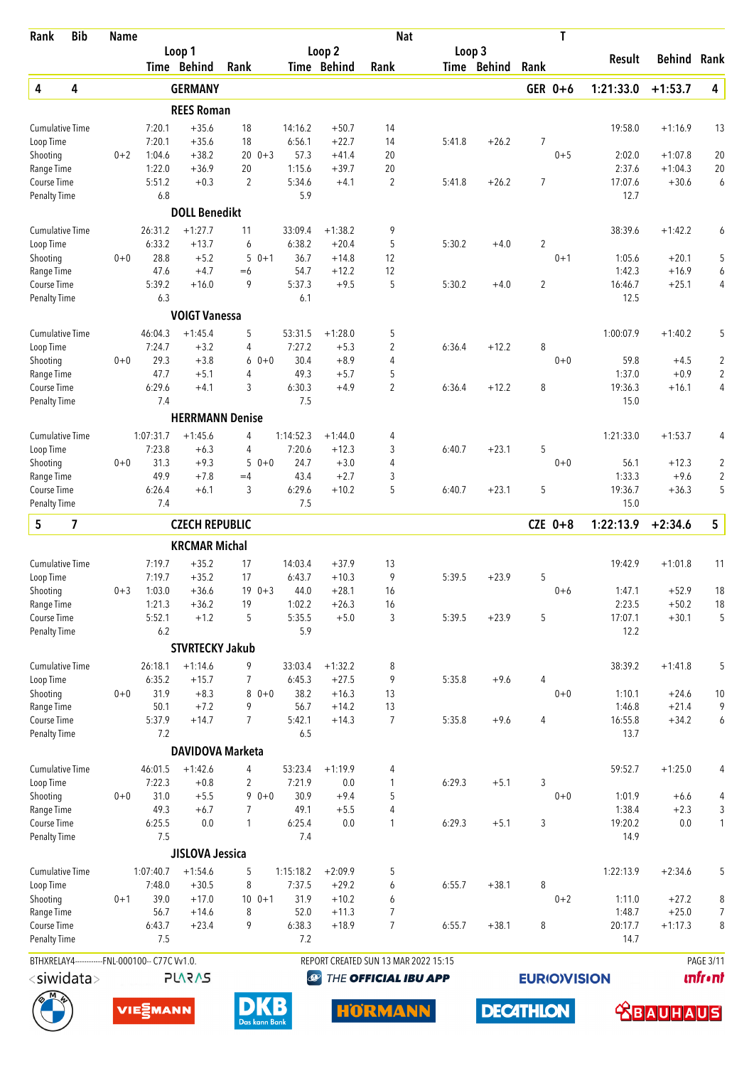| Rank                                | <b>Bib</b>              | <b>Name</b> |                                                |                         |                     |                   |                       | <b>Nat</b>                           |        |             |                     | T       |                   |                      |                         |
|-------------------------------------|-------------------------|-------------|------------------------------------------------|-------------------------|---------------------|-------------------|-----------------------|--------------------------------------|--------|-------------|---------------------|---------|-------------------|----------------------|-------------------------|
|                                     |                         |             |                                                | Loop 1<br>Time Behind   | Rank                |                   | Loop 2<br>Time Behind | Rank                                 | Loop 3 | Time Behind | Rank                |         | Result            | <b>Behind Rank</b>   |                         |
| 4                                   | 4                       |             |                                                | <b>GERMANY</b>          |                     |                   |                       |                                      |        |             | GER 0+6             |         | 1:21:33.0         | $+1:53.7$            | 4                       |
|                                     |                         |             |                                                | <b>REES Roman</b>       |                     |                   |                       |                                      |        |             |                     |         |                   |                      |                         |
|                                     |                         |             |                                                |                         |                     |                   |                       |                                      |        |             |                     |         |                   |                      |                         |
| <b>Cumulative Time</b><br>Loop Time |                         |             | 7:20.1<br>7:20.1                               | $+35.6$<br>$+35.6$      | 18<br>18            | 14:16.2<br>6:56.1 | $+50.7$<br>$+22.7$    | 14<br>14                             | 5:41.8 | $+26.2$     | $\overline{7}$      |         | 19:58.0           | $+1:16.9$            | 13                      |
| Shooting                            |                         | $0 + 2$     | 1:04.6                                         | $+38.2$                 | $20 \t 0+3$         | 57.3              | $+41.4$               | 20                                   |        |             |                     | $0 + 5$ | 2:02.0            | $+1:07.8$            | 20                      |
| Range Time                          |                         |             | 1:22.0                                         | $+36.9$                 | 20                  | 1:15.6            | $+39.7$               | 20                                   |        |             |                     |         | 2:37.6            | $+1:04.3$            | 20                      |
| Course Time                         |                         |             | 5:51.2                                         | $+0.3$                  | $\overline{2}$      | 5:34.6            | $+4.1$                | 2                                    | 5:41.8 | $+26.2$     | $\overline{7}$      |         | 17:07.6           | $+30.6$              | 6                       |
| <b>Penalty Time</b>                 |                         |             | 6.8                                            |                         |                     | 5.9               |                       |                                      |        |             |                     |         | 12.7              |                      |                         |
|                                     |                         |             |                                                | <b>DOLL Benedikt</b>    |                     |                   |                       |                                      |        |             |                     |         |                   |                      |                         |
| <b>Cumulative Time</b>              |                         |             | 26:31.2                                        | $+1:27.7$               | 11                  | 33:09.4           | $+1:38.2$             | 9                                    |        |             |                     |         | 38:39.6           | $+1:42.2$            | 6                       |
| Loop Time                           |                         |             | 6:33.2                                         | $+13.7$                 | 6                   | 6:38.2            | $+20.4$               | 5                                    | 5:30.2 | $+4.0$      | $\overline{2}$      |         |                   |                      |                         |
| Shooting                            |                         | $0 + 0$     | 28.8                                           | $+5.2$                  | 5<br>$0 + 1$        | 36.7              | $+14.8$               | 12                                   |        |             |                     | $0 + 1$ | 1:05.6            | $+20.1$              | 5                       |
| Range Time                          |                         |             | 47.6                                           | $+4.7$                  | $=6$<br>9           | 54.7              | $+12.2$               | 12<br>5                              |        |             |                     |         | 1:42.3            | $+16.9$              | 6                       |
| Course Time<br><b>Penalty Time</b>  |                         |             | 5:39.2<br>6.3                                  | $+16.0$                 |                     | 5:37.3<br>6.1     | $+9.5$                |                                      | 5:30.2 | $+4.0$      | $\overline{2}$      |         | 16:46.7<br>12.5   | $+25.1$              | 4                       |
|                                     |                         |             |                                                | <b>VOIGT Vanessa</b>    |                     |                   |                       |                                      |        |             |                     |         |                   |                      |                         |
|                                     |                         |             |                                                |                         |                     |                   |                       |                                      |        |             |                     |         |                   |                      |                         |
| <b>Cumulative Time</b><br>Loop Time |                         |             | 46:04.3<br>7:24.7                              | $+1:45.4$<br>$+3.2$     | 5<br>4              | 53:31.5<br>7:27.2 | $+1:28.0$<br>$+5.3$   | 5<br>2                               | 6:36.4 | $+12.2$     | 8                   |         | 1:00:07.9         | $+1:40.2$            | 5                       |
| Shooting                            |                         | $0 + 0$     | 29.3                                           | $+3.8$                  | $60+0$              | 30.4              | $+8.9$                | 4                                    |        |             |                     | $0 + 0$ | 59.8              | $+4.5$               | $\overline{2}$          |
| Range Time                          |                         |             | 47.7                                           | $+5.1$                  | 4                   | 49.3              | $+5.7$                | 5                                    |        |             |                     |         | 1:37.0            | $+0.9$               | $\overline{2}$          |
| Course Time                         |                         |             | 6:29.6                                         | $+4.1$                  | 3                   | 6:30.3            | $+4.9$                | $\overline{2}$                       | 6:36.4 | $+12.2$     | 8                   |         | 19:36.3           | $+16.1$              | 4                       |
| <b>Penalty Time</b>                 |                         |             | 7.4                                            |                         |                     | 7.5               |                       |                                      |        |             |                     |         | 15.0              |                      |                         |
|                                     |                         |             |                                                | <b>HERRMANN Denise</b>  |                     |                   |                       |                                      |        |             |                     |         |                   |                      |                         |
| <b>Cumulative Time</b>              |                         |             | 1:07:31.7                                      | $+1:45.6$               | 4                   | 1:14:52.3         | $+1:44.0$             | 4                                    |        |             |                     |         | 1:21:33.0         | $+1:53.7$            | 4                       |
| Loop Time                           |                         |             | 7:23.8                                         | $+6.3$                  | 4                   | 7:20.6            | $+12.3$               | 3                                    | 6:40.7 | $+23.1$     | 5                   |         |                   |                      |                         |
| Shooting                            |                         | $0 + 0$     | 31.3                                           | $+9.3$                  | 5<br>$0 + 0$        | 24.7              | $+3.0$                | 4                                    |        |             |                     | $0 + 0$ | 56.1              | $+12.3$              | $\overline{\mathbf{c}}$ |
| Range Time                          |                         |             | 49.9                                           | $+7.8$                  | $=4$                | 43.4              | $+2.7$                | 3                                    |        |             |                     |         | 1:33.3            | $+9.6$               | $\boldsymbol{2}$        |
| Course Time<br><b>Penalty Time</b>  |                         |             | 6:26.4<br>7.4                                  | $+6.1$                  | 3                   | 6:29.6<br>7.5     | $+10.2$               | 5                                    | 6:40.7 | $+23.1$     | 5                   |         | 19:36.7<br>15.0   | $+36.3$              | 5                       |
| 5                                   | $\overline{\mathbf{z}}$ |             |                                                | <b>CZECH REPUBLIC</b>   |                     |                   |                       |                                      |        |             | $CZE$ 0+8           |         | 1:22:13.9         | $+2:34.6$            | 5                       |
|                                     |                         |             |                                                | <b>KRCMAR Michal</b>    |                     |                   |                       |                                      |        |             |                     |         |                   |                      |                         |
|                                     |                         |             |                                                |                         |                     |                   |                       |                                      |        |             |                     |         |                   |                      |                         |
| <b>Cumulative Time</b><br>Loop Time |                         |             | 7:19.7<br>7:19.7                               | $+35.2$<br>$+35.2$      | 17<br>17            | 14:03.4<br>6:43.7 | $+37.9$<br>$+10.3$    | 13<br>9                              | 5:39.5 | $+23.9$     | 5                   |         | 19:42.9           | $+1:01.8$            | 11                      |
| Shooting                            |                         | $0 + 3$     | 1:03.0                                         | $+36.6$                 | $190+3$             | 44.0              | $+28.1$               | 16                                   |        |             |                     | $0 + 6$ | 1:47.1            | $+52.9$              | 18                      |
| Range Time                          |                         |             | 1:21.3                                         | $+36.2$                 | 19                  | 1:02.2            | $+26.3$               | 16                                   |        |             |                     |         | 2:23.5            | $+50.2$              | 18                      |
| Course Time                         |                         |             | 5:52.1                                         | $+1.2$                  | 5                   | 5:35.5            | $+5.0$                | 3                                    | 5:39.5 | $+23.9$     | 5                   |         | 17:07.1           | $+30.1$              | 5                       |
| <b>Penalty Time</b>                 |                         |             | 6.2                                            |                         |                     | 5.9               |                       |                                      |        |             |                     |         | 12.2              |                      |                         |
|                                     |                         |             |                                                | <b>STVRTECKY Jakub</b>  |                     |                   |                       |                                      |        |             |                     |         |                   |                      |                         |
| <b>Cumulative Time</b>              |                         |             | 26:18.1                                        | $+1:14.6$               | 9                   | 33:03.4           | $+1:32.2$             | 8                                    |        |             |                     |         | 38:39.2           | $+1:41.8$            | 5                       |
| Loop Time                           |                         |             | 6:35.2                                         | $+15.7$                 | 7                   | 6:45.3            | $+27.5$               | 9                                    | 5:35.8 | $+9.6$      | 4                   |         |                   |                      |                         |
| Shooting                            |                         | $0 + 0$     | 31.9                                           | $+8.3$                  | $80+0$              | 38.2              | $+16.3$               | 13                                   |        |             |                     | $0 + 0$ | 1:10.1            | $+24.6$              | 10                      |
| Range Time<br>Course Time           |                         |             | 50.1<br>5:37.9                                 | $+7.2$<br>$+14.7$       | 9<br>$\overline{7}$ | 56.7<br>5:42.1    | $+14.2$<br>$+14.3$    | 13<br>7                              | 5:35.8 | $+9.6$      | $\overline{4}$      |         | 1:46.8<br>16:55.8 | $+21.4$<br>$+34.2$   | 9<br>6                  |
| <b>Penalty Time</b>                 |                         |             | 7.2                                            |                         |                     | 6.5               |                       |                                      |        |             |                     |         | 13.7              |                      |                         |
|                                     |                         |             |                                                | <b>DAVIDOVA Marketa</b> |                     |                   |                       |                                      |        |             |                     |         |                   |                      |                         |
|                                     |                         |             |                                                | $+1:42.6$               | 4                   |                   |                       |                                      |        |             |                     |         |                   |                      |                         |
| <b>Cumulative Time</b><br>Loop Time |                         |             | 46:01.5<br>7:22.3                              | $+0.8$                  | $\overline{2}$      | 53:23.4<br>7:21.9 | $+1:19.9$<br>$0.0\,$  | 4<br>1                               | 6:29.3 | $+5.1$      | 3                   |         | 59:52.7           | $+1:25.0$            | 4                       |
| Shooting                            |                         | $0 + 0$     | 31.0                                           | $+5.5$                  | $90+0$              | 30.9              | $+9.4$                | 5                                    |        |             |                     | $0 + 0$ | 1:01.9            | $+6.6$               | 4                       |
| Range Time                          |                         |             | 49.3                                           | $+6.7$                  | 7                   | 49.1              | $+5.5$                | 4                                    |        |             |                     |         | 1:38.4            | $+2.3$               | 3                       |
| Course Time                         |                         |             | 6:25.5                                         | 0.0                     | $\mathbf{1}$        | 6:25.4            | $0.0\,$               | 1                                    | 6:29.3 | $+5.1$      | 3                   |         | 19:20.2           | $0.0\,$              | $\mathbf{1}$            |
| <b>Penalty Time</b>                 |                         |             | 7.5                                            |                         |                     | 7.4               |                       |                                      |        |             |                     |         | 14.9              |                      |                         |
|                                     |                         |             |                                                | <b>JISLOVA Jessica</b>  |                     |                   |                       |                                      |        |             |                     |         |                   |                      |                         |
| <b>Cumulative Time</b>              |                         |             | 1:07:40.7                                      | $+1:54.6$               | 5                   | 1:15:18.2         | $+2:09.9$             | 5                                    |        |             |                     |         | 1:22:13.9         | $+2:34.6$            | 5                       |
| Loop Time                           |                         |             | 7:48.0                                         | $+30.5$                 | 8                   | 7:37.5            | $+29.2$               | 6                                    | 6:55.7 | $+38.1$     | 8                   |         |                   |                      |                         |
| Shooting                            |                         | $0 + 1$     | 39.0                                           | $+17.0$                 | $100 + 1$           | 31.9              | $+10.2$               | 6                                    |        |             |                     | $0 + 2$ | 1:11.0            | $+27.2$              | 8                       |
| Range Time<br>Course Time           |                         |             | 56.7<br>6:43.7                                 | $+14.6$<br>$+23.4$      | 8<br>9              | 52.0<br>6:38.3    | $+11.3$<br>$+18.9$    | 7<br>$\overline{7}$                  | 6:55.7 | $+38.1$     | 8                   |         | 1:48.7<br>20:17.7 | $+25.0$<br>$+1:17.3$ | $\overline{7}$<br>8     |
| <b>Penalty Time</b>                 |                         |             | 7.5                                            |                         |                     | 7.2               |                       |                                      |        |             |                     |         | 14.7              |                      |                         |
|                                     |                         |             | BTHXRELAY4------------FNL-000100-- C77C Vv1.0. |                         |                     |                   |                       | REPORT CREATED SUN 13 MAR 2022 15:15 |        |             |                     |         |                   |                      | <b>PAGE 3/11</b>        |
| $<$ siwidata $>$                    |                         |             |                                                | <b>PLARAS</b>           |                     | $\bigcirc$        |                       | THE OFFICIAL IBU APP                 |        |             | <b>EURIO)VISION</b> |         |                   |                      | <b>unfr</b> •nt         |
|                                     |                         |             |                                                |                         |                     |                   |                       |                                      |        |             |                     |         |                   |                      |                         |

**DECATHLON** 





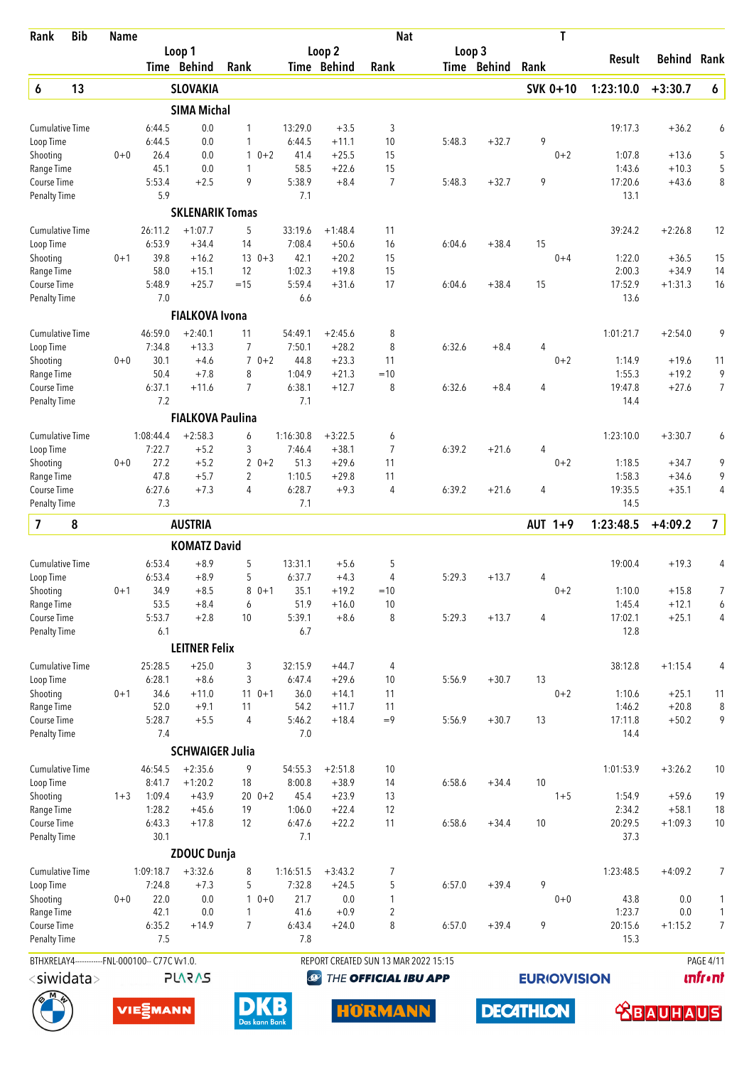| Rank                      | <b>Bib</b>       | <b>Name</b> |                                                |                         |                              |                  |                    | <b>Nat</b>                           |        |             | T               |                     |                      |                  |
|---------------------------|------------------|-------------|------------------------------------------------|-------------------------|------------------------------|------------------|--------------------|--------------------------------------|--------|-------------|-----------------|---------------------|----------------------|------------------|
|                           |                  |             |                                                | Loop 1                  |                              |                  | Loop 2             |                                      | Loop 3 |             |                 | <b>Result</b>       | Behind               | Rank             |
|                           |                  |             |                                                | Time Behind             | Rank                         |                  | <b>Time Behind</b> | Rank                                 |        | Time Behind | Rank            |                     |                      |                  |
| 6                         | 13               |             |                                                | <b>SLOVAKIA</b>         |                              |                  |                    |                                      |        |             | <b>SVK 0+10</b> | 1:23:10.0           | $+3:30.7$            | $\pmb{6}$        |
|                           |                  |             |                                                | <b>SIMA Michal</b>      |                              |                  |                    |                                      |        |             |                 |                     |                      |                  |
| <b>Cumulative Time</b>    |                  |             | 6:44.5                                         | 0.0                     | 1                            | 13:29.0          | $+3.5$             | 3                                    |        |             |                 | 19:17.3             | $+36.2$              | 6                |
| Loop Time<br>Shooting     |                  | $0 + 0$     | 6:44.5<br>26.4                                 | 0.0<br>0.0              | 1<br>$0 + 2$<br>$\mathbf{1}$ | 6:44.5<br>41.4   | $+11.1$<br>$+25.5$ | 10<br>15                             | 5:48.3 | $+32.7$     | 9<br>$0 + 2$    | 1:07.8              | $+13.6$              | 5                |
| Range Time                |                  |             | 45.1                                           | 0.0                     | 1                            | 58.5             | $+22.6$            | 15                                   |        |             |                 | 1:43.6              | $+10.3$              | 5                |
| Course Time               |                  |             | 5:53.4                                         | $+2.5$                  | 9                            | 5:38.9           | $+8.4$             | $\overline{7}$                       | 5:48.3 | $+32.7$     | 9               | 17:20.6             | $+43.6$              | 8                |
| <b>Penalty Time</b>       |                  |             | 5.9                                            |                         |                              | 7.1              |                    |                                      |        |             |                 | 13.1                |                      |                  |
|                           |                  |             |                                                | <b>SKLENARIK Tomas</b>  |                              |                  |                    |                                      |        |             |                 |                     |                      |                  |
| <b>Cumulative Time</b>    |                  |             | 26:11.2                                        | $+1:07.7$               | 5                            | 33:19.6          | $+1:48.4$          | 11                                   |        |             |                 | 39:24.2             | $+2:26.8$            | 12               |
| Loop Time                 |                  |             | 6:53.9                                         | $+34.4$                 | 14                           | 7:08.4           | $+50.6$            | 16                                   | 6:04.6 | $+38.4$     | 15              |                     |                      |                  |
| Shooting                  |                  | $0 + 1$     | 39.8                                           | $+16.2$                 | $130+3$                      | 42.1             | $+20.2$            | 15                                   |        |             | $0 + 4$         | 1:22.0              | $+36.5$              | 15               |
| Range Time<br>Course Time |                  |             | 58.0<br>5:48.9                                 | $+15.1$<br>$+25.7$      | 12<br>$=15$                  | 1:02.3<br>5:59.4 | $+19.8$<br>$+31.6$ | 15<br>17                             | 6:04.6 | $+38.4$     | 15              | 2:00.3<br>17:52.9   | $+34.9$<br>$+1:31.3$ | 14<br>16         |
| <b>Penalty Time</b>       |                  |             | 7.0                                            |                         |                              | 6.6              |                    |                                      |        |             |                 | 13.6                |                      |                  |
|                           |                  |             |                                                | <b>FIALKOVA Ivona</b>   |                              |                  |                    |                                      |        |             |                 |                     |                      |                  |
| <b>Cumulative Time</b>    |                  |             | 46:59.0                                        | $+2:40.1$               | 11                           | 54:49.1          | $+2:45.6$          | 8                                    |        |             |                 | 1:01:21.7           | $+2:54.0$            | 9                |
| Loop Time                 |                  |             | 7:34.8                                         | $+13.3$                 | 7                            | 7:50.1           | $+28.2$            | 8                                    | 6:32.6 | $+8.4$      | 4               |                     |                      |                  |
| Shooting                  |                  | $0 + 0$     | 30.1                                           | $+4.6$                  | $70+2$                       | 44.8             | $+23.3$            | 11                                   |        |             | $0 + 2$         | 1:14.9              | $+19.6$              | 11               |
| Range Time                |                  |             | 50.4                                           | $+7.8$                  | 8                            | 1:04.9           | $+21.3$            | $=10$                                |        |             |                 | 1:55.3              | $+19.2$              | 9                |
| Course Time               |                  |             | 6:37.1                                         | $+11.6$                 | $\overline{7}$               | 6:38.1           | $+12.7$            | 8                                    | 6:32.6 | $+8.4$      | 4               | 19:47.8             | $+27.6$              | $\overline{7}$   |
| <b>Penalty Time</b>       |                  |             | 7.2                                            |                         |                              | 7.1              |                    |                                      |        |             |                 | 14.4                |                      |                  |
|                           |                  |             |                                                | <b>FIALKOVA Paulina</b> |                              |                  |                    |                                      |        |             |                 |                     |                      |                  |
| Cumulative Time           |                  |             | 1:08:44.4                                      | $+2:58.3$               | 6                            | 1:16:30.8        | $+3:22.5$          | 6                                    |        |             |                 | 1:23:10.0           | $+3:30.7$            | 6                |
| Loop Time                 |                  |             | 7:22.7                                         | $+5.2$                  | 3                            | 7:46.4           | $+38.1$            | 7                                    | 6:39.2 | $+21.6$     | 4               |                     |                      |                  |
| Shooting                  |                  | $0 + 0$     | 27.2                                           | $+5.2$                  | $20+2$                       | 51.3             | $+29.6$            | 11                                   |        |             | $0 + 2$         | 1:18.5              | $+34.7$              | 9                |
| Range Time<br>Course Time |                  |             | 47.8<br>6:27.6                                 | $+5.7$<br>$+7.3$        | 2<br>$\overline{4}$          | 1:10.5<br>6:28.7 | $+29.8$<br>$+9.3$  | 11<br>$\overline{4}$                 | 6:39.2 | $+21.6$     | 4               | 1:58.3<br>19:35.5   | $+34.6$<br>$+35.1$   | 9<br>4           |
| <b>Penalty Time</b>       |                  |             | 7.3                                            |                         |                              | 7.1              |                    |                                      |        |             |                 | 14.5                |                      |                  |
| $\overline{\mathbf{z}}$   | 8                |             |                                                | <b>AUSTRIA</b>          |                              |                  |                    |                                      |        |             | AUT $1+9$       | 1:23:48.5           | $+4:09.2$            | 7                |
|                           |                  |             |                                                | <b>KOMATZ David</b>     |                              |                  |                    |                                      |        |             |                 |                     |                      |                  |
| <b>Cumulative Time</b>    |                  |             | 6:53.4                                         | $+8.9$                  | 5                            | 13:31.1          | $+5.6$             | 5                                    |        |             |                 | 19:00.4             | $+19.3$              | 4                |
| Loop Time                 |                  |             | 6:53.4                                         | $+8.9$                  | 5                            | 6:37.7           | $+4.3$             | 4                                    | 5:29.3 | $+13.7$     | 4               |                     |                      |                  |
| Shooting                  |                  | $0 + 1$     | 34.9                                           | $+8.5$                  | $80+1$                       | 35.1             | $+19.2$            | $=10$                                |        |             | $0 + 2$         | 1:10.0              | $+15.8$              | 7                |
| Range Time                |                  |             | 53.5                                           | $+8.4$                  | 6                            | 51.9             | $+16.0$            | 10                                   |        |             |                 | 1:45.4              | $+12.1$              | 6                |
| Course Time               |                  |             | 5:53.7                                         | $+2.8$                  | 10                           | 5:39.1           | $+8.6$             | 8                                    | 5:29.3 | $+13.7$     | 4               | 17:02.1             | $+25.1$              | 4                |
| <b>Penalty Time</b>       |                  |             | 6.1                                            |                         |                              | 6.7              |                    |                                      |        |             |                 | 12.8                |                      |                  |
|                           |                  |             |                                                | <b>LEITNER Felix</b>    |                              |                  |                    |                                      |        |             |                 |                     |                      |                  |
| <b>Cumulative Time</b>    |                  |             | 25:28.5                                        | $+25.0$                 | 3                            | 32:15.9          | $+44.7$            | 4                                    |        |             |                 | 38:12.8             | $+1:15.4$            | 4                |
| Loop Time                 |                  |             | 6:28.1                                         | $+8.6$                  | 3                            | 6:47.4           | $+29.6$            | 10                                   | 5:56.9 | $+30.7$     | 13              |                     |                      |                  |
| Shooting<br>Range Time    |                  | $0 + 1$     | 34.6<br>52.0                                   | $+11.0$<br>$+9.1$       | $110+1$<br>11                | 36.0<br>54.2     | $+14.1$<br>$+11.7$ | 11<br>11                             |        |             | $0 + 2$         | 1:10.6<br>1:46.2    | $+25.1$<br>$+20.8$   | 11<br>8          |
| Course Time               |                  |             | 5:28.7                                         | $+5.5$                  | 4                            | 5:46.2           | $+18.4$            | $=9$                                 | 5:56.9 | $+30.7$     | 13              | 17:11.8             | $+50.2$              | 9                |
| <b>Penalty Time</b>       |                  |             | 7.4                                            |                         |                              | 7.0              |                    |                                      |        |             |                 | 14.4                |                      |                  |
|                           |                  |             |                                                | <b>SCHWAIGER Julia</b>  |                              |                  |                    |                                      |        |             |                 |                     |                      |                  |
| <b>Cumulative Time</b>    |                  |             | 46:54.5                                        | $+2:35.6$               | 9                            | 54:55.3          | $+2:51.8$          | 10                                   |        |             |                 | 1:01:53.9           | $+3:26.2$            | 10               |
| Loop Time                 |                  |             | 8:41.7                                         | $+1:20.2$               | 18                           | 8:00.8           | $+38.9$            | 14                                   | 6:58.6 | $+34.4$     | 10              |                     |                      |                  |
| Shooting                  |                  | $1 + 3$     | 1:09.4                                         | $+43.9$                 | $200 + 2$                    | 45.4             | $+23.9$            | 13                                   |        |             | $1 + 5$         | 1:54.9              | $+59.6$              | 19               |
| Range Time                |                  |             | 1:28.2                                         | $+45.6$                 | 19                           | 1:06.0           | $+22.4$            | 12                                   |        |             |                 | 2:34.2              | $+58.1$              | 18               |
| Course Time               |                  |             | 6:43.3                                         | $+17.8$                 | 12                           | 6:47.6           | $+22.2$            | 11                                   | 6:58.6 | $+34.4$     | 10              | 20:29.5             | $+1:09.3$            | 10               |
| <b>Penalty Time</b>       |                  |             | 30.1                                           |                         |                              | 7.1              |                    |                                      |        |             |                 | 37.3                |                      |                  |
|                           |                  |             |                                                | <b>ZDOUC Dunja</b>      |                              |                  |                    |                                      |        |             |                 |                     |                      |                  |
| <b>Cumulative Time</b>    |                  |             | 1:09:18.7                                      | $+3:32.6$<br>$+7.3$     | 8                            | 1:16:51.5        | $+3:43.2$          | 7                                    |        |             | 9               | 1:23:48.5           | $+4:09.2$            | $\overline{7}$   |
| Loop Time<br>Shooting     |                  | $0 + 0$     | 7:24.8<br>22.0                                 | 0.0                     | 5<br>$10+0$                  | 7:32.8<br>21.7   | $+24.5$<br>0.0     | 5<br>1                               | 6:57.0 | $+39.4$     | $0 + 0$         | 43.8                | 0.0                  | 1                |
| Range Time                |                  |             | 42.1                                           | 0.0                     | 1                            | 41.6             | $+0.9$             | $\overline{2}$                       |        |             |                 | 1:23.7              | 0.0                  | $\mathbf{1}$     |
| Course Time               |                  |             | 6:35.2                                         | $+14.9$                 | $\overline{7}$               | 6:43.4           | $+24.0$            | 8                                    | 6:57.0 | $+39.4$     | 9               | 20:15.6             | $+1:15.2$            | $\overline{7}$   |
| <b>Penalty Time</b>       |                  |             | 7.5                                            |                         |                              | 7.8              |                    |                                      |        |             |                 | 15.3                |                      |                  |
|                           |                  |             | BTHXRELAY4------------FNL-000100-- C77C Vv1.0. |                         |                              |                  |                    | REPORT CREATED SUN 13 MAR 2022 15:15 |        |             |                 |                     |                      | <b>PAGE 4/11</b> |
|                           | $<$ siwidata $>$ |             |                                                | <b>SV2V7L</b>           |                              |                  | $\bigcirc$         | THE OFFICIAL IBU APP                 |        |             |                 | <b>EURIO)VISION</b> |                      | <b>unfront</b>   |
|                           |                  |             |                                                |                         |                              |                  |                    |                                      |        |             |                 |                     |                      |                  |

**DECATHLON** 





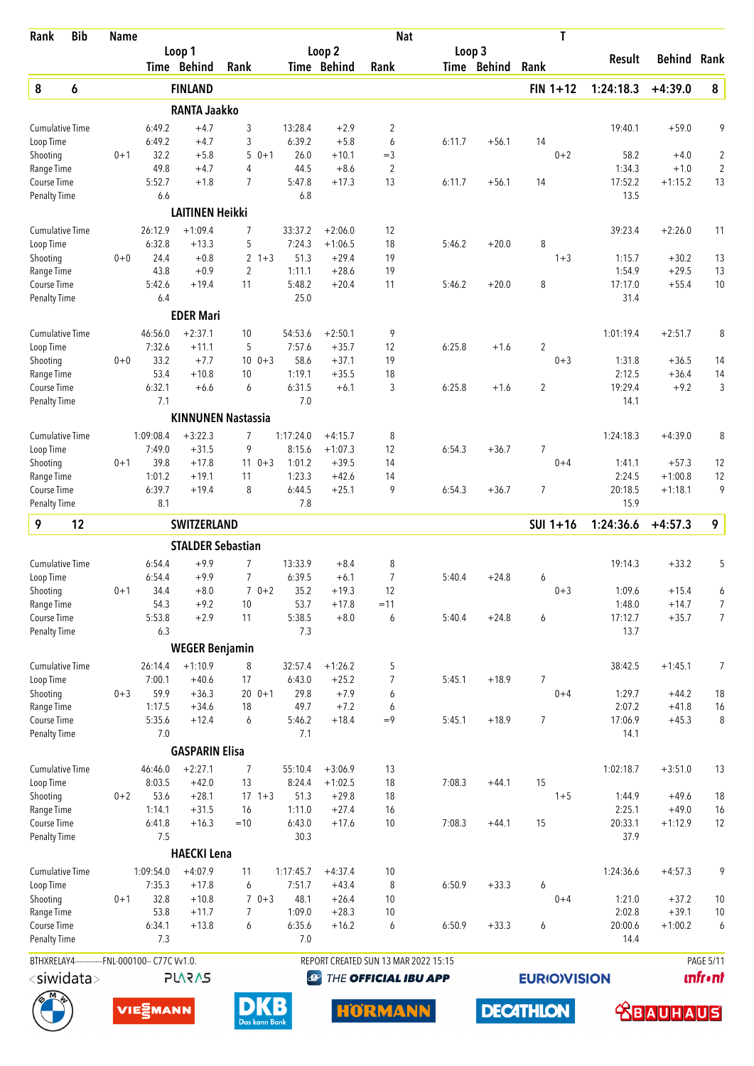| Rank                                | <b>Bib</b> | <b>Name</b> |                                                |                          |                           |                     |                      | <b>Nat</b>                           |        |             | T                         |                 |           |                  |
|-------------------------------------|------------|-------------|------------------------------------------------|--------------------------|---------------------------|---------------------|----------------------|--------------------------------------|--------|-------------|---------------------------|-----------------|-----------|------------------|
|                                     |            |             |                                                | Loop 1                   |                           |                     | Loop 2               |                                      | Loop 3 |             |                           | Result          | Behind    | Rank             |
|                                     |            |             |                                                | Time Behind              | Rank                      |                     | Time Behind          | Rank                                 |        | Time Behind | Rank                      |                 |           |                  |
| 8                                   | 6          |             |                                                | <b>FINLAND</b>           |                           |                     |                      |                                      |        |             | $FIN 1+12$                | 1:24:18.3       | $+4:39.0$ | 8                |
|                                     |            |             |                                                | <b>RANTA Jaakko</b>      |                           |                     |                      |                                      |        |             |                           |                 |           |                  |
| <b>Cumulative Time</b>              |            |             | 6:49.2                                         | $+4.7$                   | 3                         | 13:28.4             | $+2.9$               | 2                                    |        |             |                           | 19:40.1         | $+59.0$   | 9                |
| Loop Time<br>Shooting               |            | $0 + 1$     | 6:49.2<br>32.2                                 | $+4.7$<br>$+5.8$         | 3<br>5<br>$0 + 1$         | 6:39.2<br>26.0      | $+5.8$<br>$+10.1$    | 6<br>$=$ 3                           | 6:11.7 | $+56.1$     | 14<br>$0 + 2$             | 58.2            | $+4.0$    | 2                |
| Range Time                          |            |             | 49.8                                           | $+4.7$                   | 4                         | 44.5                | $+8.6$               | $\overline{2}$                       |        |             |                           | 1:34.3          | $+1.0$    | $\overline{2}$   |
| Course Time                         |            |             | 5:52.7                                         | $+1.8$                   | $\overline{7}$            | 5:47.8              | $+17.3$              | 13                                   | 6:11.7 | $+56.1$     | 14                        | 17:52.2         | $+1:15.2$ | 13               |
| <b>Penalty Time</b>                 |            |             | 6.6                                            |                          |                           | 6.8                 |                      |                                      |        |             |                           | 13.5            |           |                  |
|                                     |            |             |                                                | <b>LAITINEN Heikki</b>   |                           |                     |                      |                                      |        |             |                           |                 |           |                  |
| <b>Cumulative Time</b>              |            |             | 26:12.9                                        | $+1:09.4$                | 7                         | 33:37.2             | $+2:06.0$            | 12                                   |        |             |                           | 39:23.4         | $+2:26.0$ | 11               |
| Loop Time                           |            |             | 6:32.8                                         | $+13.3$                  | 5                         | 7:24.3              | $+1:06.5$            | 18                                   | 5:46.2 | $+20.0$     | 8                         |                 |           |                  |
| Shooting                            |            | $0 + 0$     | 24.4                                           | $+0.8$                   | $2 + 3$                   | 51.3                | $+29.4$              | 19                                   |        |             | $1 + 3$                   | 1:15.7          | $+30.2$   | 13               |
| Range Time                          |            |             | 43.8                                           | $+0.9$                   | $\overline{2}$            | 1:11.1              | $+28.6$              | 19                                   |        |             |                           | 1:54.9          | $+29.5$   | 13               |
| Course Time                         |            |             | 5:42.6<br>6.4                                  | $+19.4$                  | 11                        | 5:48.2<br>25.0      | $+20.4$              | 11                                   | 5:46.2 | $+20.0$     | 8                         | 17:17.0<br>31.4 | $+55.4$   | 10               |
| <b>Penalty Time</b>                 |            |             |                                                |                          |                           |                     |                      |                                      |        |             |                           |                 |           |                  |
|                                     |            |             |                                                | <b>EDER Mari</b>         |                           |                     |                      |                                      |        |             |                           |                 |           |                  |
| <b>Cumulative Time</b>              |            |             | 46:56.0                                        | $+2:37.1$                | 10                        | 54:53.6             | $+2:50.1$            | 9                                    |        |             |                           | 1:01:19.4       | $+2:51.7$ | 8                |
| Loop Time<br>Shooting               |            | $0 + 0$     | 7:32.6<br>33.2                                 | $+11.1$<br>$+7.7$        | 5<br>$10 \t 0+3$          | 7:57.6<br>58.6      | $+35.7$<br>$+37.1$   | 12<br>19                             | 6:25.8 | $+1.6$      | $\overline{2}$<br>$0 + 3$ | 1:31.8          | $+36.5$   | 14               |
| Range Time                          |            |             | 53.4                                           | $+10.8$                  | 10                        | 1:19.1              | $+35.5$              | 18                                   |        |             |                           | 2:12.5          | $+36.4$   | 14               |
| Course Time                         |            |             | 6:32.1                                         | $+6.6$                   | 6                         | 6:31.5              | $+6.1$               | 3                                    | 6:25.8 | $+1.6$      | $\overline{2}$            | 19:29.4         | $+9.2$    | 3                |
| <b>Penalty Time</b>                 |            |             | 7.1                                            |                          |                           | 7.0                 |                      |                                      |        |             |                           | 14.1            |           |                  |
|                                     |            |             |                                                |                          | <b>KINNUNEN Nastassia</b> |                     |                      |                                      |        |             |                           |                 |           |                  |
| <b>Cumulative Time</b>              |            |             | 1:09:08.4                                      | $+3:22.3$                | 7                         | 1:17:24.0           | $+4:15.7$            | 8                                    |        |             |                           | 1:24:18.3       | $+4:39.0$ | 8                |
| Loop Time                           |            |             | 7:49.0                                         | $+31.5$                  | 9                         | 8:15.6              | $+1:07.3$            | 12                                   | 6:54.3 | $+36.7$     | $\overline{7}$            |                 |           |                  |
| Shooting                            |            | $0 + 1$     | 39.8                                           | $+17.8$                  | $11 \t 0+3$               | 1:01.2              | $+39.5$              | 14                                   |        |             | $0 + 4$                   | 1:41.1          | $+57.3$   | 12               |
| Range Time                          |            |             | 1:01.2                                         | $+19.1$                  | 11                        | 1:23.3              | $+42.6$              | 14                                   |        |             |                           | 2:24.5          | $+1:00.8$ | 12               |
| Course Time                         |            |             | 6:39.7                                         | $+19.4$                  | 8                         | 6:44.5              | $+25.1$              | 9                                    | 6:54.3 | $+36.7$     | $\overline{7}$            | 20:18.5         | $+1:18.1$ | 9                |
| <b>Penalty Time</b>                 |            |             | 8.1                                            |                          |                           | 7.8                 |                      |                                      |        |             |                           | 15.9            |           |                  |
| 9                                   | 12         |             |                                                | <b>SWITZERLAND</b>       |                           |                     |                      |                                      |        |             | $SUI 1+16$                | 1:24:36.6       | $+4:57.3$ | 9                |
|                                     |            |             |                                                | <b>STALDER Sebastian</b> |                           |                     |                      |                                      |        |             |                           |                 |           |                  |
| <b>Cumulative Time</b>              |            |             | 6:54.4                                         | $+9.9$                   | 7                         | 13:33.9             | $+8.4$               | 8                                    |        |             |                           | 19:14.3         | $+33.2$   | 5                |
| Loop Time                           |            |             | 6:54.4                                         | $+9.9$                   | $\overline{7}$            | 6:39.5              | $+6.1$               | 7                                    | 5:40.4 | $+24.8$     | 6                         |                 |           |                  |
| Shooting                            |            | 0+1         | 34.4                                           | $+8.0$                   | $70+2$                    | 35.2                | $+19.3$              | 12                                   |        |             | $0 + 3$                   | 1:09.6          | $+15.4$   | 6                |
| Range Time                          |            |             | 54.3                                           | $+9.2$                   | 10                        | 53.7                | $+17.8$              | $=11$                                |        |             |                           | 1:48.0          | $+14.7$   | 7                |
| Course Time<br><b>Penalty Time</b>  |            |             | 5:53.8<br>6.3                                  | $+2.9$                   | 11                        | 5:38.5<br>7.3       | $+8.0$               | 6                                    | 5:40.4 | $+24.8$     | 6                         | 17:12.7<br>13.7 | $+35.7$   | $\overline{7}$   |
|                                     |            |             |                                                | <b>WEGER Benjamin</b>    |                           |                     |                      |                                      |        |             |                           |                 |           |                  |
|                                     |            |             |                                                |                          |                           |                     |                      |                                      |        |             |                           |                 |           |                  |
| <b>Cumulative Time</b><br>Loop Time |            |             | 26:14.4<br>7:00.1                              | $+1:10.9$<br>$+40.6$     | 8<br>17                   | 32:57.4<br>6:43.0   | $+1:26.2$<br>$+25.2$ | 5<br>7                               | 5:45.1 | $+18.9$     | 7                         | 38:42.5         | $+1:45.1$ | 7                |
| Shooting                            |            | $0 + 3$     | 59.9                                           | $+36.3$                  | $200 + 1$                 | 29.8                | $+7.9$               | 6                                    |        |             | $0 + 4$                   | 1:29.7          | $+44.2$   | 18               |
| Range Time                          |            |             | 1:17.5                                         | $+34.6$                  | 18                        | 49.7                | $+7.2$               | 6                                    |        |             |                           | 2:07.2          | $+41.8$   | 16               |
| Course Time                         |            |             | 5:35.6                                         | $+12.4$                  | 6                         | 5:46.2              | $+18.4$              | $=9$                                 | 5:45.1 | $+18.9$     | $\overline{7}$            | 17:06.9         | $+45.3$   | 8                |
| <b>Penalty Time</b>                 |            |             | 7.0                                            |                          |                           | 7.1                 |                      |                                      |        |             |                           | 14.1            |           |                  |
|                                     |            |             |                                                | <b>GASPARIN Elisa</b>    |                           |                     |                      |                                      |        |             |                           |                 |           |                  |
| <b>Cumulative Time</b>              |            |             | 46:46.0                                        | $+2:27.1$                | 7                         | 55:10.4             | $+3:06.9$            | 13                                   |        |             |                           | 1:02:18.7       | $+3:51.0$ | 13               |
| Loop Time                           |            |             | 8:03.5                                         | $+42.0$                  | 13                        | 8:24.4              | $+1:02.5$            | 18                                   | 7:08.3 | $+44.1$     | 15                        |                 |           |                  |
| Shooting                            |            | $0 + 2$     | 53.6                                           | $+28.1$                  | $17 \t1+3$                | 51.3                | $+29.8$              | 18                                   |        |             | $1 + 5$                   | 1:44.9          | $+49.6$   | 18               |
| Range Time                          |            |             | 1:14.1                                         | $+31.5$                  | 16                        | 1:11.0              | $+27.4$              | 16                                   |        |             |                           | 2:25.1          | $+49.0$   | 16               |
| Course Time<br><b>Penalty Time</b>  |            |             | 6:41.8<br>7.5                                  | $+16.3$                  | $=10$                     | 6:43.0<br>30.3      | $+17.6$              | 10                                   | 7:08.3 | $+44.1$     | 15                        | 20:33.1<br>37.9 | $+1:12.9$ | 12               |
|                                     |            |             |                                                |                          |                           |                     |                      |                                      |        |             |                           |                 |           |                  |
|                                     |            |             |                                                | <b>HAECKI Lena</b>       |                           |                     |                      |                                      |        |             |                           |                 |           |                  |
| <b>Cumulative Time</b><br>Loop Time |            |             | 1:09:54.0<br>7:35.3                            | $+4:07.9$<br>$+17.8$     | 11<br>6                   | 1:17:45.7<br>7:51.7 | $+4:37.4$<br>$+43.4$ | 10<br>8                              | 6:50.9 | $+33.3$     | 6                         | 1:24:36.6       | $+4:57.3$ | 9                |
| Shooting                            |            | $0 + 1$     | 32.8                                           | $+10.8$                  | $70+3$                    | 48.1                | $+26.4$              | 10                                   |        |             | $0 + 4$                   | 1:21.0          | $+37.2$   | 10               |
| Range Time                          |            |             | 53.8                                           | $+11.7$                  | $\overline{7}$            | 1:09.0              | $+28.3$              | 10                                   |        |             |                           | 2:02.8          | $+39.1$   | 10               |
| Course Time                         |            |             | 6:34.1                                         | $+13.8$                  | 6                         | 6:35.6              | $+16.2$              | 6                                    | 6:50.9 | $+33.3$     | 6                         | 20:00.6         | $+1:00.2$ | 6                |
| <b>Penalty Time</b>                 |            |             | 7.3                                            |                          |                           | 7.0                 |                      |                                      |        |             |                           | 14.4            |           |                  |
|                                     |            |             | BTHXRELAY4------------FNL-000100-- C77C Vv1.0. |                          |                           |                     |                      | REPORT CREATED SUN 13 MAR 2022 15:15 |        |             |                           |                 |           | <b>PAGE 5/11</b> |
| $<$ siwidata $>$                    |            |             |                                                | <b>SV2V7L</b>            |                           | $\bigcirc$          |                      | THE OFFICIAL IBU APP                 |        |             | <b>EURIO)VISION</b>       |                 |           | <b>unfr</b> •nt  |
|                                     |            |             |                                                |                          |                           |                     |                      |                                      |        |             |                           |                 |           |                  |

**DECATHLON** 





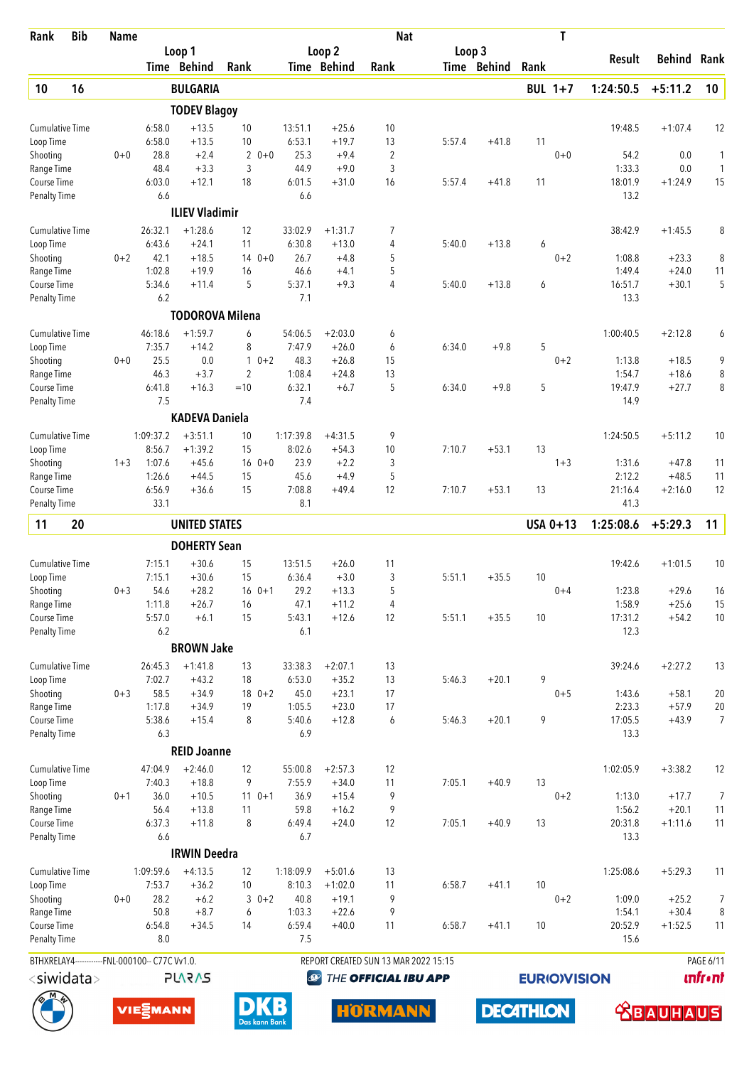| Rank                               | <b>Bib</b> | <b>Name</b> |                                                |                        |                     |             |                   |                      | <b>Nat</b>                           |        |             |      | T                   |                   |                      |                 |
|------------------------------------|------------|-------------|------------------------------------------------|------------------------|---------------------|-------------|-------------------|----------------------|--------------------------------------|--------|-------------|------|---------------------|-------------------|----------------------|-----------------|
|                                    |            |             |                                                | Loop 1                 |                     |             |                   | Loop 2               |                                      |        | Loop 3      |      |                     | <b>Result</b>     | Behind               | Rank            |
|                                    |            |             |                                                | Time Behind            | Rank                |             |                   | Time Behind          | Rank                                 |        | Time Behind | Rank |                     |                   |                      |                 |
| 10                                 | 16         |             |                                                | <b>BULGARIA</b>        |                     |             |                   |                      |                                      |        |             |      | <b>BUL 1+7</b>      | 1:24:50.5         | $+5:11.2$            | 10              |
|                                    |            |             |                                                | <b>TODEV Blagoy</b>    |                     |             |                   |                      |                                      |        |             |      |                     |                   |                      |                 |
| <b>Cumulative Time</b>             |            |             | 6:58.0                                         | $+13.5$                | 10                  |             | 13:51.1           | $+25.6$              | 10                                   |        |             |      |                     | 19:48.5           | $+1:07.4$            | 12              |
| Loop Time                          |            | $0 + 0$     | 6:58.0<br>28.8                                 | $+13.5$<br>$+2.4$      | 10                  | $0 + 0$     | 6:53.1<br>25.3    | $+19.7$<br>$+9.4$    | 13                                   | 5:57.4 | $+41.8$     | 11   | $0 + 0$             | 54.2              | 0.0                  | 1               |
| Shooting<br>Range Time             |            |             | 48.4                                           | $+3.3$                 | $\overline{2}$<br>3 |             | 44.9              | $+9.0$               | $\sqrt{2}$<br>3                      |        |             |      |                     | 1:33.3            | 0.0                  | $\mathbf{1}$    |
| Course Time                        |            |             | 6:03.0                                         | $+12.1$                | 18                  |             | 6:01.5            | $+31.0$              | 16                                   | 5:57.4 | $+41.8$     | 11   |                     | 18:01.9           | $+1:24.9$            | 15              |
| Penalty Time                       |            |             | 6.6                                            |                        |                     |             | 6.6               |                      |                                      |        |             |      |                     | 13.2              |                      |                 |
|                                    |            |             |                                                | <b>ILIEV Vladimir</b>  |                     |             |                   |                      |                                      |        |             |      |                     |                   |                      |                 |
| <b>Cumulative Time</b>             |            |             | 26:32.1                                        | $+1:28.6$              | 12                  |             | 33:02.9           | $+1:31.7$            | 7                                    |        |             |      |                     | 38:42.9           | $+1:45.5$            | 8               |
| Loop Time                          |            |             | 6:43.6                                         | $+24.1$                | 11                  |             | 6:30.8            | $+13.0$              | 4                                    | 5:40.0 | $+13.8$     | 6    |                     |                   |                      |                 |
| Shooting                           |            | $0 + 2$     | 42.1                                           | $+18.5$                | 14                  | $0 + 0$     | 26.7              | $+4.8$               | 5                                    |        |             |      | $0 + 2$             | 1:08.8            | $+23.3$              | 8               |
| Range Time                         |            |             | 1:02.8                                         | $+19.9$                | 16                  |             | 46.6              | $+4.1$               | 5<br>4                               |        |             |      |                     | 1:49.4            | $+24.0$              | 11              |
| Course Time<br><b>Penalty Time</b> |            |             | 5:34.6<br>6.2                                  | $+11.4$                | 5                   |             | 5:37.1<br>7.1     | $+9.3$               |                                      | 5:40.0 | $+13.8$     | 6    |                     | 16:51.7<br>13.3   | $+30.1$              | 5               |
|                                    |            |             |                                                | <b>TODOROVA Milena</b> |                     |             |                   |                      |                                      |        |             |      |                     |                   |                      |                 |
| <b>Cumulative Time</b>             |            |             | 46:18.6                                        | $+1:59.7$              | 6                   |             | 54:06.5           | $+2:03.0$            |                                      |        |             |      |                     |                   | $+2:12.8$            |                 |
| Loop Time                          |            |             | 7:35.7                                         | $+14.2$                | 8                   |             | 7:47.9            | $+26.0$              | 6<br>6                               | 6:34.0 | $+9.8$      | 5    |                     | 1:00:40.5         |                      | 6               |
| Shooting                           |            | $0 + 0$     | 25.5                                           | 0.0                    | $\mathbf{1}$        | $0 + 2$     | 48.3              | $+26.8$              | 15                                   |        |             |      | $0 + 2$             | 1:13.8            | $+18.5$              | 9               |
| Range Time                         |            |             | 46.3                                           | $+3.7$                 | $\overline{2}$      |             | 1:08.4            | $+24.8$              | 13                                   |        |             |      |                     | 1:54.7            | $+18.6$              | 8               |
| Course Time                        |            |             | 6:41.8                                         | $+16.3$                | $=10$               |             | 6:32.1            | $+6.7$               | 5                                    | 6:34.0 | $+9.8$      | 5    |                     | 19:47.9           | $+27.7$              | 8               |
| <b>Penalty Time</b>                |            |             | 7.5                                            |                        |                     |             | 7.4               |                      |                                      |        |             |      |                     | 14.9              |                      |                 |
|                                    |            |             |                                                | <b>KADEVA Daniela</b>  |                     |             |                   |                      |                                      |        |             |      |                     |                   |                      |                 |
| <b>Cumulative Time</b>             |            |             | 1:09:37.2                                      | $+3:51.1$              | 10                  |             | 1:17:39.8         | $+4:31.5$            | 9                                    |        |             |      |                     | 1:24:50.5         | $+5:11.2$            | 10              |
| Loop Time                          |            |             | 8:56.7                                         | $+1:39.2$              | 15                  |             | 8:02.6            | $+54.3$              | 10                                   | 7:10.7 | $+53.1$     | 13   |                     |                   |                      |                 |
| Shooting                           |            | $1 + 3$     | 1:07.6                                         | $+45.6$                |                     | $160+0$     | 23.9              | $+2.2$               | 3                                    |        |             |      | $1 + 3$             | 1:31.6            | $+47.8$              | 11              |
| Range Time<br>Course Time          |            |             | 1:26.6<br>6:56.9                               | $+44.5$<br>$+36.6$     | 15<br>15            |             | 45.6<br>7:08.8    | $+4.9$<br>$+49.4$    | 5<br>12                              | 7:10.7 | $+53.1$     | 13   |                     | 2:12.2<br>21:16.4 | $+48.5$<br>$+2:16.0$ | 11<br>12        |
| <b>Penalty Time</b>                |            |             | 33.1                                           |                        |                     |             | 8.1               |                      |                                      |        |             |      |                     | 41.3              |                      |                 |
| 11                                 | 20         |             |                                                | <b>UNITED STATES</b>   |                     |             |                   |                      |                                      |        |             |      | USA 0+13            | 1:25:08.6         | $+5:29.3$            | 11              |
|                                    |            |             |                                                | <b>DOHERTY Sean</b>    |                     |             |                   |                      |                                      |        |             |      |                     |                   |                      |                 |
| <b>Cumulative Time</b>             |            |             | 7:15.1                                         | $+30.6$                | 15                  |             | 13:51.5           | $+26.0$              | 11                                   |        |             |      |                     | 19:42.6           | $+1:01.5$            | 10              |
| Loop Time                          |            |             | 7:15.1                                         | $+30.6$                | 15                  |             | 6:36.4            | $+3.0$               | 3                                    | 5:51.1 | $+35.5$     | 10   |                     |                   |                      |                 |
| Shooting                           |            | $0 + 3$     | 54.6                                           | $+28.2$                | $16 \t 0+1$         |             | 29.2              | $+13.3$              | 5                                    |        |             |      | $0 + 4$             | 1:23.8            | $+29.6$              | 16              |
| Range Time                         |            |             | 1:11.8                                         | $+26.7$                | 16                  |             | 47.1              | $+11.2$              | 4                                    |        |             |      |                     | 1:58.9            | $+25.6$              | 15              |
| Course Time                        |            |             | 5:57.0                                         | $+6.1$                 | 15                  |             | 5:43.1            | $+12.6$              | 12                                   | 5:51.1 | $+35.5$     | 10   |                     | 17:31.2           | $+54.2$              | 10              |
| Penalty Time                       |            |             | 6.2                                            |                        |                     |             | 6.1               |                      |                                      |        |             |      |                     | 12.3              |                      |                 |
|                                    |            |             |                                                | <b>BROWN Jake</b>      |                     |             |                   |                      |                                      |        |             |      |                     |                   |                      |                 |
| <b>Cumulative Time</b>             |            |             | 26:45.3<br>7:02.7                              | $+1:41.8$<br>$+43.2$   | 13<br>18            |             | 33:38.3<br>6:53.0 | $+2:07.1$<br>$+35.2$ | 13<br>13                             | 5:46.3 | $+20.1$     | 9    |                     | 39:24.6           | $+2:27.2$            | 13              |
| Loop Time<br>Shooting              |            | $0 + 3$     | 58.5                                           | $+34.9$                | $180+2$             |             | 45.0              | $+23.1$              | 17                                   |        |             |      | $0 + 5$             | 1:43.6            | $+58.1$              | 20              |
| Range Time                         |            |             | 1:17.8                                         | $+34.9$                | 19                  |             | 1:05.5            | $+23.0$              | 17                                   |        |             |      |                     | 2:23.3            | $+57.9$              | 20              |
| Course Time                        |            |             | 5:38.6                                         | $+15.4$                | 8                   |             | 5:40.6            | $+12.8$              | 6                                    | 5:46.3 | $+20.1$     | 9    |                     | 17:05.5           | $+43.9$              | $\overline{7}$  |
| <b>Penalty Time</b>                |            |             | 6.3                                            |                        |                     |             | 6.9               |                      |                                      |        |             |      |                     | 13.3              |                      |                 |
|                                    |            |             |                                                | <b>REID Joanne</b>     |                     |             |                   |                      |                                      |        |             |      |                     |                   |                      |                 |
| <b>Cumulative Time</b>             |            |             | 47:04.9                                        | $+2:46.0$              | 12                  |             | 55:00.8           | $+2:57.3$            | 12                                   |        |             |      |                     | 1:02:05.9         | $+3:38.2$            | 12              |
| Loop Time                          |            |             | 7:40.3                                         | $+18.8$                | 9                   |             | 7:55.9            | $+34.0$              | 11                                   | 7:05.1 | $+40.9$     | 13   |                     |                   |                      |                 |
| Shooting                           |            | $0 + 1$     | 36.0<br>56.4                                   | $+10.5$                |                     | $11 \t 0+1$ | 36.9<br>59.8      | $+15.4$              | 9                                    |        |             |      | $0 + 2$             | 1:13.0            | $+17.7$              | 7               |
| Range Time<br>Course Time          |            |             | 6:37.3                                         | $+13.8$<br>$+11.8$     | 11<br>8             |             | 6:49.4            | $+16.2$<br>$+24.0$   | 9<br>12                              | 7:05.1 | $+40.9$     | 13   |                     | 1:56.2<br>20:31.8 | $+20.1$<br>$+1:11.6$ | 11<br>11        |
| <b>Penalty Time</b>                |            |             | 6.6                                            |                        |                     |             | 6.7               |                      |                                      |        |             |      |                     | 13.3              |                      |                 |
|                                    |            |             |                                                | <b>IRWIN Deedra</b>    |                     |             |                   |                      |                                      |        |             |      |                     |                   |                      |                 |
| <b>Cumulative Time</b>             |            |             | 1:09:59.6                                      | $+4:13.5$              | 12                  |             | 1:18:09.9         | $+5:01.6$            | 13                                   |        |             |      |                     | 1:25:08.6         | $+5:29.3$            | 11              |
| Loop Time                          |            |             | 7:53.7                                         | $+36.2$                | 10                  |             | 8:10.3            | $+1:02.0$            | 11                                   | 6:58.7 | $+41.1$     | 10   |                     |                   |                      |                 |
| Shooting                           |            | $0+0$       | 28.2                                           | $+6.2$                 |                     | $30+2$      | 40.8              | $+19.1$              | 9                                    |        |             |      | $0 + 2$             | 1:09.0            | $+25.2$              | $\overline{7}$  |
| Range Time                         |            |             | 50.8                                           | $+8.7$                 | 6                   |             | 1:03.3            | $+22.6$              | 9                                    |        |             |      |                     | 1:54.1            | $+30.4$              | 8               |
| Course Time                        |            |             | 6:54.8                                         | $+34.5$                | 14                  |             | 6:59.4            | $+40.0$              | 11                                   | 6:58.7 | $+41.1$     | 10   |                     | 20:52.9           | $+1:52.5$            | 11              |
| <b>Penalty Time</b>                |            |             | 8.0                                            |                        |                     |             | 7.5               |                      |                                      |        |             |      |                     | 15.6              |                      |                 |
|                                    |            |             | BTHXRELAY4------------FNL-000100-- C77C Vv1.0. |                        |                     |             |                   |                      | REPORT CREATED SUN 13 MAR 2022 15:15 |        |             |      |                     |                   |                      | PAGE 6/11       |
| $<$ siwidata $>$                   |            |             |                                                | <b>SV2V7L</b>          |                     |             | $\bigcirc$        |                      | THE OFFICIAL IBU APP                 |        |             |      | <b>EURIO)VISION</b> |                   |                      | <b>unfr</b> •nt |

**DECATHLON** 





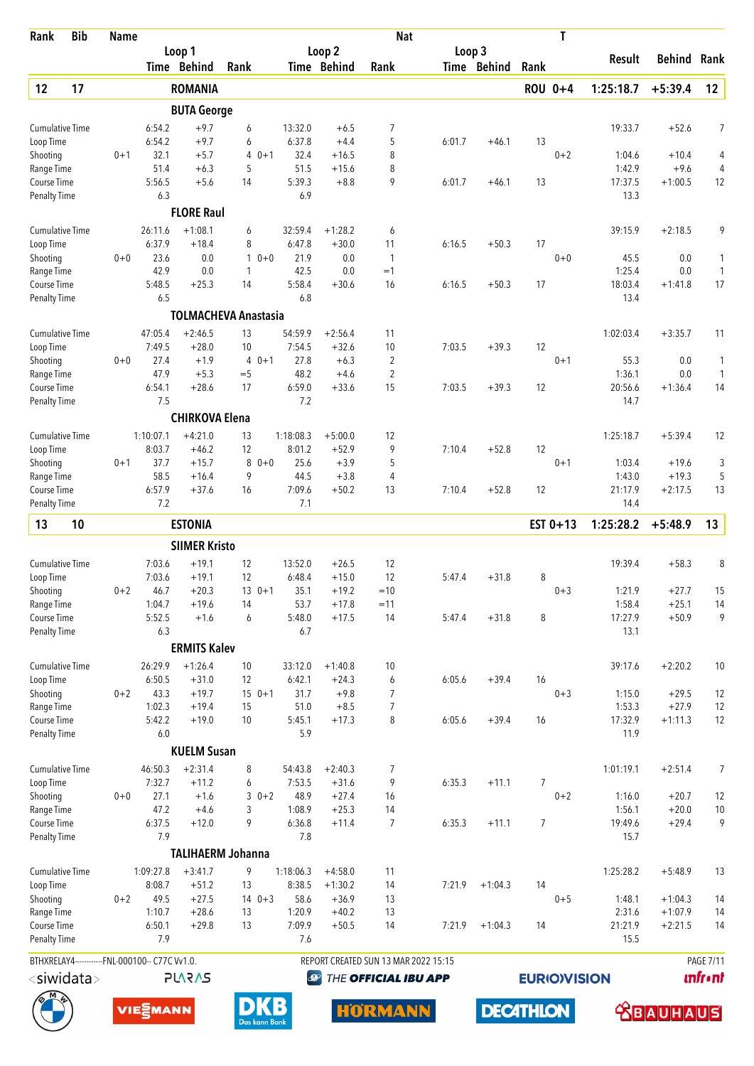| <b>Bib</b><br>Rank                             | <b>Name</b> |                     |                             |          |               |                     |                       | <b>Nat</b>                           |        |                  |                | Τ                   |                   |                    |                  |
|------------------------------------------------|-------------|---------------------|-----------------------------|----------|---------------|---------------------|-----------------------|--------------------------------------|--------|------------------|----------------|---------------------|-------------------|--------------------|------------------|
|                                                |             |                     | Loop 1<br>Time Behind       | Rank     |               |                     | Loop 2<br>Time Behind | Rank                                 | Loop 3 | Time Behind      | Rank           |                     | Result            | Behind             | Rank             |
| 17<br>12                                       |             |                     | <b>ROMANIA</b>              |          |               |                     |                       |                                      |        |                  |                | ROU 0+4             | 1:25:18.7         | $+5:39.4$          | 12               |
|                                                |             |                     | <b>BUTA George</b>          |          |               |                     |                       |                                      |        |                  |                |                     |                   |                    |                  |
| <b>Cumulative Time</b>                         |             | 6:54.2              | $+9.7$                      | 6        |               | 13:32.0             | $+6.5$                | 7                                    |        |                  |                |                     | 19:33.7           | $+52.6$            | 7                |
| Loop Time                                      |             | 6:54.2              | $+9.7$                      | 6        |               | 6:37.8              | $+4.4$                | 5                                    | 6:01.7 | $+46.1$          | 13             |                     |                   |                    |                  |
| Shooting                                       | $0 + 1$     | 32.1                | $+5.7$                      | 4        | $0 + 1$       | 32.4                | $+16.5$               | 8                                    |        |                  |                | $0 + 2$             | 1:04.6            | $+10.4$            | 4                |
| Range Time                                     |             | 51.4                | $+6.3$                      | 5        |               | 51.5                | $+15.6$               | 8                                    |        |                  |                |                     | 1:42.9            | $+9.6$             | 4                |
| Course Time<br>Penalty Time                    |             | 5:56.5<br>6.3       | $+5.6$                      | 14       |               | 5:39.3<br>6.9       | $+8.8$                | 9                                    | 6:01.7 | $+46.1$          | 13             |                     | 17:37.5<br>13.3   | $+1:00.5$          | 12               |
|                                                |             |                     | <b>FLORE Raul</b>           |          |               |                     |                       |                                      |        |                  |                |                     |                   |                    |                  |
| <b>Cumulative Time</b>                         |             | 26:11.6             | $+1:08.1$                   | 6        |               | 32:59.4             | $+1:28.2$             | 6                                    |        |                  |                |                     | 39:15.9           | $+2:18.5$          | 9                |
| Loop Time                                      |             | 6:37.9              | $+18.4$                     | 8        |               | 6:47.8              | $+30.0$               | 11                                   | 6:16.5 | $+50.3$          | 17             |                     |                   |                    |                  |
| Shooting                                       | $0 + 0$     | 23.6                | 0.0                         | 1        | $0 + 0$       | 21.9                | 0.0                   | $\mathbf{1}$                         |        |                  |                | $0 + 0$             | 45.5              | 0.0                | 1                |
| Range Time                                     |             | 42.9                | 0.0                         | 1        |               | 42.5                | 0.0                   | $=1$                                 |        |                  |                |                     | 1:25.4            | 0.0                | $\mathbf{1}$     |
| Course Time<br><b>Penalty Time</b>             |             | 5:48.5<br>6.5       | $+25.3$                     | 14       |               | 5:58.4<br>6.8       | $+30.6$               | 16                                   | 6:16.5 | $+50.3$          | 17             |                     | 18:03.4<br>13.4   | $+1:41.8$          | 17               |
|                                                |             |                     | <b>TOLMACHEVA Anastasia</b> |          |               |                     |                       |                                      |        |                  |                |                     |                   |                    |                  |
| <b>Cumulative Time</b>                         |             | 47:05.4             | $+2:46.5$                   | 13       |               | 54:59.9             | $+2:56.4$             | 11                                   |        |                  |                |                     | 1:02:03.4         | $+3:35.7$          | 11               |
| Loop Time                                      |             | 7:49.5              | $+28.0$                     | 10       |               | 7:54.5              | $+32.6$               | 10                                   | 7:03.5 | $+39.3$          | 12             |                     |                   |                    |                  |
| Shooting                                       | $0 + 0$     | 27.4                | $+1.9$                      | 4        | $0 + 1$       | 27.8                | $+6.3$                | $\overline{2}$                       |        |                  |                | $0 + 1$             | 55.3              | 0.0                | 1                |
| Range Time                                     |             | 47.9                | $+5.3$                      | $=$ 5    |               | 48.2                | $+4.6$                | 2                                    |        |                  |                |                     | 1:36.1            | 0.0                | $\mathbf{1}$     |
| Course Time                                    |             | 6:54.1              | $+28.6$                     | 17       |               | 6:59.0              | $+33.6$               | 15                                   | 7:03.5 | $+39.3$          | 12             |                     | 20:56.6           | $+1:36.4$          | 14               |
| <b>Penalty Time</b>                            |             | 7.5                 |                             |          |               | 7.2                 |                       |                                      |        |                  |                |                     | 14.7              |                    |                  |
|                                                |             |                     | <b>CHIRKOVA Elena</b>       |          |               |                     |                       |                                      |        |                  |                |                     |                   |                    |                  |
| <b>Cumulative Time</b><br>Loop Time            |             | 1:10:07.1<br>8:03.7 | $+4:21.0$<br>$+46.2$        | 13<br>12 |               | 1:18:08.3<br>8:01.2 | $+5:00.0$<br>$+52.9$  | 12<br>9                              | 7:10.4 | $+52.8$          | 12             |                     | 1:25:18.7         | $+5:39.4$          | 12               |
| Shooting                                       | $0 + 1$     | 37.7                | $+15.7$                     | 8        | $0 + 0$       | 25.6                | $+3.9$                | 5                                    |        |                  |                | $0 + 1$             | 1:03.4            | $+19.6$            | 3                |
| Range Time                                     |             | 58.5                | $+16.4$                     | 9        |               | 44.5                | $+3.8$                | 4                                    |        |                  |                |                     | 1:43.0            | $+19.3$            | 5                |
| Course Time                                    |             | 6:57.9              | $+37.6$                     | 16       |               | 7:09.6              | $+50.2$               | 13                                   | 7:10.4 | $+52.8$          | 12             |                     | 21:17.9           | $+2:17.5$          | 13               |
| <b>Penalty Time</b>                            |             | 7.2                 |                             |          |               | 7.1                 |                       |                                      |        |                  |                |                     | 14.4              |                    |                  |
| 13<br>10                                       |             |                     | <b>ESTONIA</b>              |          |               |                     |                       |                                      |        |                  |                | EST $0+13$          | 1:25:28.2         | $+5:48.9$          | 13               |
|                                                |             |                     | <b>SIIMER Kristo</b>        |          |               |                     |                       |                                      |        |                  |                |                     |                   |                    |                  |
| <b>Cumulative Time</b>                         |             | 7:03.6              | $+19.1$                     | 12       |               | 13:52.0             | $+26.5$               | 12                                   |        |                  |                |                     | 19:39.4           | $+58.3$            | 8                |
| Loop Time                                      |             | 7:03.6              | $+19.1$                     | 12       |               | 6:48.4              | $+15.0$               | 12                                   | 5:47.4 | $+31.8$          | 8              |                     |                   |                    |                  |
| Shooting                                       | $0 + 2$     | 46.7                | $+20.3$                     |          | $13 \t 0+1$   | 35.1                | $+19.2$               | $=10$                                |        |                  |                | $0 + 3$             | 1:21.9            | $+27.7$            | 15               |
| Range Time<br>Course Time                      |             | 1:04.7<br>5:52.5    | $+19.6$<br>$+1.6$           | 14<br>6  |               | 53.7<br>5:48.0      | $+17.8$<br>$+17.5$    | $=11$<br>14                          | 5:47.4 | $+31.8$          | 8              |                     | 1:58.4<br>17:27.9 | $+25.1$<br>$+50.9$ | 14<br>9          |
| <b>Penalty Time</b>                            |             | 6.3                 |                             |          |               | 6.7                 |                       |                                      |        |                  |                |                     | 13.1              |                    |                  |
|                                                |             |                     | <b>ERMITS Kalev</b>         |          |               |                     |                       |                                      |        |                  |                |                     |                   |                    |                  |
| <b>Cumulative Time</b>                         |             | 26:29.9             | $+1:26.4$                   | 10       |               | 33:12.0             | $+1:40.8$             | 10                                   |        |                  |                |                     | 39:17.6           | $+2:20.2$          | 10               |
| Loop Time                                      |             | 6:50.5              | $+31.0$                     | 12       |               | 6:42.1              | $+24.3$               | 6                                    | 6:05.6 | $+39.4$          | 16             |                     |                   |                    |                  |
| Shooting                                       | $0 + 2$     | 43.3                | $+19.7$                     |          | $150+1$       | 31.7                | $+9.8$                | 7                                    |        |                  |                | $0 + 3$             | 1:15.0            | $+29.5$            | 12               |
| Range Time                                     |             | 1:02.3              | $+19.4$                     | 15       |               | 51.0                | $+8.5$                | $\overline{7}$                       |        |                  |                |                     | 1:53.3            | $+27.9$            | 12               |
| Course Time                                    |             | 5:42.2              | $+19.0$                     | 10       |               | 5:45.1              | $+17.3$               | 8                                    | 6:05.6 | $+39.4$          | 16             |                     | 17:32.9           | $+1:11.3$          | 12               |
| <b>Penalty Time</b>                            |             | $6.0\,$             | <b>KUELM Susan</b>          |          |               | 5.9                 |                       |                                      |        |                  |                |                     | 11.9              |                    |                  |
| <b>Cumulative Time</b>                         |             | 46:50.3             | $+2:31.4$                   | 8        |               | 54:43.8             | $+2:40.3$             | 7                                    |        |                  |                |                     | 1:01:19.1         | $+2:51.4$          | 7                |
| Loop Time                                      |             | 7:32.7              | $+11.2$                     | 6        |               | 7:53.5              | $+31.6$               | 9                                    | 6:35.3 | $+11.1$          | $\overline{7}$ |                     |                   |                    |                  |
| Shooting                                       | $0+0$       | 27.1                | $+1.6$                      | 3        | $0 + 2$       | 48.9                | $+27.4$               | 16                                   |        |                  |                | $0 + 2$             | 1:16.0            | $+20.7$            | 12               |
| Range Time                                     |             | 47.2                | $+4.6$                      | 3        |               | 1:08.9              | $+25.3$               | 14                                   |        |                  |                |                     | 1:56.1            | $+20.0$            | 10               |
| Course Time                                    |             | 6:37.5              | $+12.0$                     | 9        |               | 6:36.8              | $+11.4$               | $\overline{7}$                       | 6:35.3 | $+11.1$          | $\overline{7}$ |                     | 19:49.6           | $+29.4$            | 9                |
| <b>Penalty Time</b>                            |             | 7.9                 |                             |          |               | 7.8                 |                       |                                      |        |                  |                |                     | 15.7              |                    |                  |
|                                                |             |                     | <b>TALIHAERM Johanna</b>    |          |               |                     |                       |                                      |        |                  |                |                     |                   |                    |                  |
| <b>Cumulative Time</b>                         |             | 1:09:27.8           | $+3:41.7$                   | 9        |               | 1:18:06.3           | $+4:58.0$             | 11                                   |        |                  |                |                     | 1:25:28.2         | $+5:48.9$          | 13               |
| Loop Time<br>Shooting                          | $0 + 2$     | 8:08.7<br>49.5      | $+51.2$<br>$+27.5$          | 13       | $140+3$       | 8:38.5<br>58.6      | $+1:30.2$<br>$+36.9$  | 14<br>13                             | 7:21.9 | $+1:04.3$        | 14             | $0 + 5$             | 1:48.1            | $+1:04.3$          | 14               |
| Range Time                                     |             | 1:10.7              | $+28.6$                     | 13       |               | 1:20.9              | $+40.2$               | 13                                   |        |                  |                |                     | 2:31.6            | $+1:07.9$          | 14               |
| Course Time                                    |             | 6:50.1              | $+29.8$                     | 13       |               | 7:09.9              | $+50.5$               | 14                                   | 7:21.9 | $+1:04.3$        | 14             |                     | 21:21.9           | $+2:21.5$          | 14               |
| <b>Penalty Time</b>                            |             | 7.9                 |                             |          |               | 7.6                 |                       |                                      |        |                  |                |                     | 15.5              |                    |                  |
| BTHXRELAY4------------FNL-000100-- C77C Vv1.0. |             |                     |                             |          |               |                     |                       | REPORT CREATED SUN 13 MAR 2022 15:15 |        |                  |                |                     |                   |                    | <b>PAGE 7/11</b> |
| $<$ siwidata $>$                               |             |                     | <b>PLARAS</b>               |          |               | <b>P</b>            |                       | THE OFFICIAL IBU APP                 |        |                  |                | <b>EURIO)VISION</b> |                   |                    | <b>unfr</b> •nt  |
|                                                |             | VIE EMANN           |                             |          | Das kann Bank | В                   |                       | <b>HORMANN</b>                       |        | <b>DECATHLON</b> |                |                     |                   | <b>BAUHA</b>       | US.              |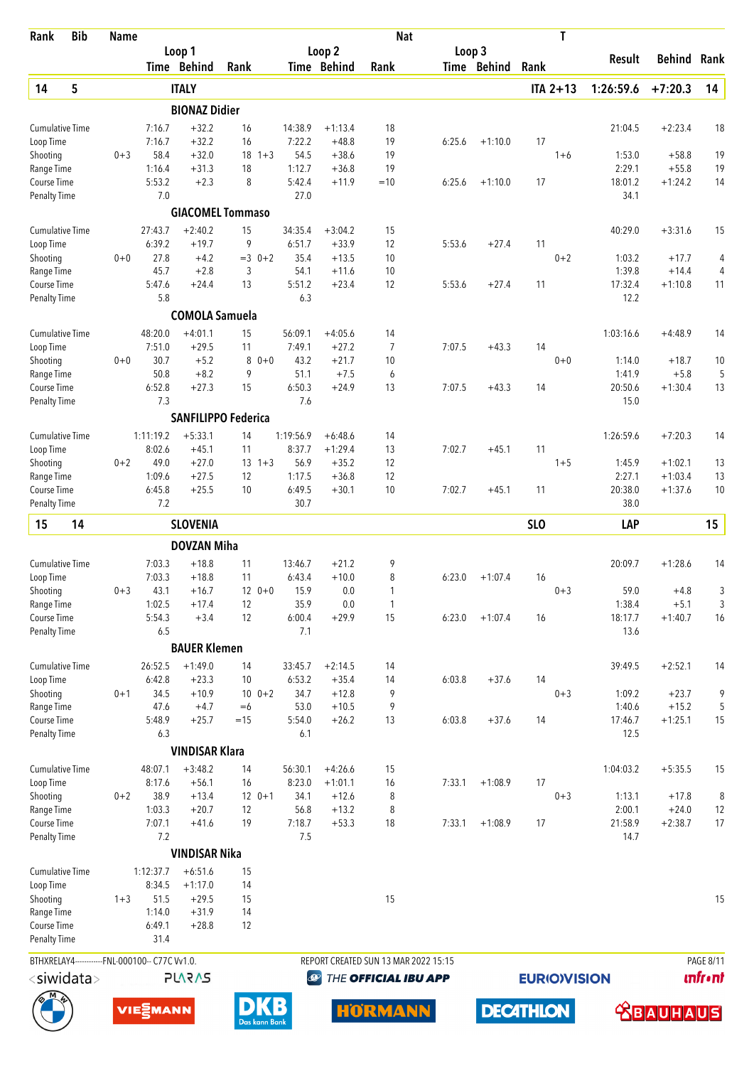| <b>Bib</b><br>Rank                             | <b>Name</b> |                  |                       |                            |                   |                    | <b>Nat</b>                           |        |                  |                 | T                   |                  |                    |                 |
|------------------------------------------------|-------------|------------------|-----------------------|----------------------------|-------------------|--------------------|--------------------------------------|--------|------------------|-----------------|---------------------|------------------|--------------------|-----------------|
|                                                |             |                  | Loop 1                |                            |                   | Loop <sub>2</sub>  |                                      | Loop 3 |                  |                 |                     | <b>Result</b>    | Behind             | Rank            |
|                                                |             |                  | Time Behind           | Rank                       |                   | Time Behind        | Rank                                 |        | Time Behind      | Rank            |                     |                  |                    |                 |
| 5<br>14                                        |             |                  | <b>ITALY</b>          |                            |                   |                    |                                      |        |                  |                 | $ITA 2+13$          | 1:26:59.6        | $+7:20.3$          | 14              |
|                                                |             |                  | <b>BIONAZ Didier</b>  |                            |                   |                    |                                      |        |                  |                 |                     |                  |                    |                 |
| <b>Cumulative Time</b>                         |             | 7:16.7           | $+32.2$               | 16                         | 14:38.9           | $+1:13.4$          | 18                                   |        |                  |                 |                     | 21:04.5          | $+2:23.4$          | 18              |
| Loop Time                                      |             | 7:16.7           | $+32.2$               | 16                         | 7:22.2            | $+48.8$            | 19                                   | 6:25.6 | $+1:10.0$        | 17              |                     |                  |                    |                 |
| Shooting<br>Range Time                         | $0 + 3$     | 58.4<br>1:16.4   | $+32.0$<br>$+31.3$    | 18<br>$1 + 3$<br>18        | 54.5<br>1:12.7    | $+38.6$<br>$+36.8$ | 19<br>19                             |        |                  |                 | $1 + 6$             | 1:53.0<br>2:29.1 | $+58.8$<br>$+55.8$ | 19<br>19        |
| Course Time                                    |             | 5:53.2           | $+2.3$                | 8                          | 5:42.4            | $+11.9$            | $=10$                                | 6:25.6 | $+1:10.0$        | 17              |                     | 18:01.2          | $+1:24.2$          | 14              |
| <b>Penalty Time</b>                            |             | 7.0              |                       |                            | 27.0              |                    |                                      |        |                  |                 |                     | 34.1             |                    |                 |
|                                                |             |                  |                       | <b>GIACOMEL Tommaso</b>    |                   |                    |                                      |        |                  |                 |                     |                  |                    |                 |
| <b>Cumulative Time</b>                         |             | 27:43.7          | $+2:40.2$             | 15                         | 34:35.4           | $+3:04.2$          | 15                                   |        |                  |                 |                     | 40:29.0          | $+3:31.6$          | 15              |
| Loop Time                                      |             | 6:39.2           | $+19.7$               | 9                          | 6:51.7            | $+33.9$            | 12                                   | 5:53.6 | $+27.4$          | 11              |                     |                  |                    |                 |
| Shooting                                       | $0 + 0$     | 27.8<br>45.7     | $+4.2$<br>$+2.8$      | $=3$ 0+2<br>3              | 35.4<br>54.1      | $+13.5$<br>$+11.6$ | 10<br>10                             |        |                  |                 | $0 + 2$             | 1:03.2<br>1:39.8 | $+17.7$<br>$+14.4$ | 4<br>4          |
| Range Time<br>Course Time                      |             | 5:47.6           | $+24.4$               | 13                         | 5:51.2            | $+23.4$            | 12                                   | 5:53.6 | $+27.4$          | 11              |                     | 17:32.4          | $+1:10.8$          | 11              |
| <b>Penalty Time</b>                            |             | 5.8              |                       |                            | 6.3               |                    |                                      |        |                  |                 |                     | 12.2             |                    |                 |
|                                                |             |                  | <b>COMOLA Samuela</b> |                            |                   |                    |                                      |        |                  |                 |                     |                  |                    |                 |
| <b>Cumulative Time</b>                         |             | 48:20.0          | $+4:01.1$             | 15                         | 56:09.1           | $+4:05.6$          | 14                                   |        |                  |                 |                     | 1:03:16.6        | $+4:48.9$          | 14              |
| Loop Time                                      |             | 7:51.0           | $+29.5$               | 11                         | 7:49.1            | $+27.2$            | $\overline{7}$                       | 7:07.5 | $+43.3$          | 14              |                     |                  |                    |                 |
| Shooting                                       | $0 + 0$     | 30.7             | $+5.2$                | 8<br>$0 + 0$               | 43.2              | $+21.7$            | 10                                   |        |                  |                 | $0 + 0$             | 1:14.0           | $+18.7$            | 10              |
| Range Time                                     |             | 50.8             | $+8.2$                | 9                          | 51.1              | $+7.5$             | 6                                    |        |                  |                 |                     | 1:41.9           | $+5.8$             | 5               |
| Course Time<br><b>Penalty Time</b>             |             | 6:52.8<br>7.3    | $+27.3$               | 15                         | 6:50.3<br>7.6     | $+24.9$            | 13                                   | 7:07.5 | $+43.3$          | 14              |                     | 20:50.6<br>15.0  | $+1:30.4$          | 13              |
|                                                |             |                  |                       | <b>SANFILIPPO Federica</b> |                   |                    |                                      |        |                  |                 |                     |                  |                    |                 |
| <b>Cumulative Time</b>                         |             | 1:11:19.2        | $+5:33.1$             | 14                         | 1:19:56.9         | $+6:48.6$          | 14                                   |        |                  |                 |                     | 1:26:59.6        | $+7:20.3$          | 14              |
| Loop Time                                      |             | 8:02.6           | $+45.1$               | 11                         | 8:37.7            | $+1:29.4$          | 13                                   | 7:02.7 | $+45.1$          | 11              |                     |                  |                    |                 |
| Shooting                                       | $0 + 2$     | 49.0             | $+27.0$               | $13 + 3$                   | 56.9              | $+35.2$            | 12                                   |        |                  |                 | $1 + 5$             | 1:45.9           | $+1:02.1$          | 13              |
| Range Time                                     |             | 1:09.6           | $+27.5$               | 12                         | 1:17.5            | $+36.8$            | 12                                   |        |                  |                 |                     | 2:27.1           | $+1:03.4$          | 13              |
| Course Time<br><b>Penalty Time</b>             |             | 6:45.8<br>7.2    | $+25.5$               | 10                         | 6:49.5<br>30.7    | $+30.1$            | 10                                   | 7:02.7 | $+45.1$          | 11              |                     | 20:38.0<br>38.0  | $+1:37.6$          | 10              |
| 15<br>14                                       |             |                  | <b>SLOVENIA</b>       |                            |                   |                    |                                      |        |                  | SL <sub>O</sub> |                     | LAP              |                    | 15              |
|                                                |             |                  |                       |                            |                   |                    |                                      |        |                  |                 |                     |                  |                    |                 |
|                                                |             |                  | <b>DOVZAN Miha</b>    |                            |                   |                    |                                      |        |                  |                 |                     |                  |                    |                 |
| <b>Cumulative Time</b><br>Loop Time            |             | 7:03.3<br>7:03.3 | $+18.8$<br>$+18.8$    | 11<br>11                   | 13:46.7<br>6:43.4 | $+21.2$<br>$+10.0$ | 9<br>8                               | 6:23.0 | $+1:07.4$        | 16              |                     | 20:09.7          | $+1:28.6$          | 14              |
| Shooting                                       | $0 + 3$     | 43.1             | $+16.7$               | $12 \t 0+0$                | 15.9              | 0.0                | 1                                    |        |                  |                 | $0 + 3$             | 59.0             | $+4.8$             | 3               |
| Range Time                                     |             | 1:02.5           | $+17.4$               | 12                         | 35.9              | $0.0\,$            | 1                                    |        |                  |                 |                     | 1:38.4           | $+5.1$             | 3               |
| Course Time                                    |             | 5:54.3           | $+3.4$                | 12                         | 6:00.4            | $+29.9$            | 15                                   | 6:23.0 | $+1:07.4$        | 16              |                     | 18:17.7          | $+1:40.7$          | 16              |
| Penalty Time                                   |             | 6.5              |                       |                            | 7.1               |                    |                                      |        |                  |                 |                     | 13.6             |                    |                 |
|                                                |             |                  | <b>BAUER Klemen</b>   |                            |                   |                    |                                      |        |                  |                 |                     |                  |                    |                 |
| <b>Cumulative Time</b>                         |             | 26:52.5          | $+1:49.0$             | 14                         | 33:45.7           | $+2:14.5$          | 14                                   |        |                  |                 |                     | 39:49.5          | $+2:52.1$          | 14              |
| Loop Time                                      |             | 6:42.8           | $+23.3$               | 10                         | 6:53.2            | $+35.4$            | 14                                   | 6:03.8 | $+37.6$          | 14              |                     |                  |                    |                 |
| Shooting<br>Range Time                         | $0 + 1$     | 34.5<br>47.6     | $+10.9$<br>$+4.7$     | $10 \t 0+2$<br>$=6$        | 34.7<br>53.0      | $+12.8$<br>$+10.5$ | 9<br>9                               |        |                  |                 | $0 + 3$             | 1:09.2<br>1:40.6 | $+23.7$<br>$+15.2$ | 9<br>5          |
| Course Time                                    |             | 5:48.9           | $+25.7$               | $=15$                      | 5:54.0            | $+26.2$            | 13                                   | 6:03.8 | $+37.6$          | 14              |                     | 17:46.7          | $+1:25.1$          | 15              |
| <b>Penalty Time</b>                            |             | 6.3              |                       |                            | 6.1               |                    |                                      |        |                  |                 |                     | 12.5             |                    |                 |
|                                                |             |                  | <b>VINDISAR Klara</b> |                            |                   |                    |                                      |        |                  |                 |                     |                  |                    |                 |
| <b>Cumulative Time</b>                         |             | 48:07.1          | $+3:48.2$             | 14                         | 56:30.1           | $+4:26.6$          | 15                                   |        |                  |                 |                     | 1:04:03.2        | $+5:35.5$          | 15              |
| Loop Time                                      |             | 8:17.6           | $+56.1$               | 16                         | 8:23.0            | $+1:01.1$          | 16                                   | 7:33.1 | $+1:08.9$        | 17              |                     |                  |                    |                 |
| Shooting                                       | $0 + 2$     | 38.9             | $+13.4$               | $12 \t 0+1$                | 34.1              | $+12.6$            | 8                                    |        |                  |                 | $0 + 3$             | 1:13.1           | $+17.8$            | 8               |
| Range Time                                     |             | 1:03.3           | $+20.7$               | 12                         | 56.8              | $+13.2$            | 8                                    |        |                  |                 |                     | 2:00.1           | $+24.0$            | 12              |
| Course Time                                    |             | 7:07.1<br>7.2    | $+41.6$               | 19                         | 7:18.7<br>7.5     | $+53.3$            | 18                                   | 7:33.1 | $+1:08.9$        | 17              |                     | 21:58.9<br>14.7  | $+2:38.7$          | 17              |
| Penalty Time                                   |             |                  | <b>VINDISAR Nika</b>  |                            |                   |                    |                                      |        |                  |                 |                     |                  |                    |                 |
| <b>Cumulative Time</b>                         |             | 1:12:37.7        | $+6:51.6$             | 15                         |                   |                    |                                      |        |                  |                 |                     |                  |                    |                 |
| Loop Time                                      |             | 8:34.5           | $+1:17.0$             | 14                         |                   |                    |                                      |        |                  |                 |                     |                  |                    |                 |
| Shooting                                       | $1 + 3$     | 51.5             | $+29.5$               | 15                         |                   |                    | 15                                   |        |                  |                 |                     |                  |                    | 15              |
| Range Time                                     |             | 1:14.0           | $+31.9$               | 14                         |                   |                    |                                      |        |                  |                 |                     |                  |                    |                 |
| Course Time                                    |             | 6:49.1           | $+28.8$               | 12                         |                   |                    |                                      |        |                  |                 |                     |                  |                    |                 |
| Penalty Time                                   |             | 31.4             |                       |                            |                   |                    |                                      |        |                  |                 |                     |                  |                    |                 |
| BTHXRELAY4------------FNL-000100-- C77C Vv1.0. |             |                  |                       |                            |                   |                    | REPORT CREATED SUN 13 MAR 2022 15:15 |        |                  |                 |                     |                  |                    | PAGE 8/11       |
| <siwidata></siwidata>                          |             |                  | <b>PLARAS</b>         |                            |                   | $\bigcirc$         | THE OFFICIAL IBU APP                 |        |                  |                 | <b>EURIO)VISION</b> |                  |                    | <b>unfr</b> •nt |
|                                                |             | VIESMANN         |                       | Das kann Bank              |                   |                    | <b>HORMANN</b>                       |        | <b>DECATHLON</b> |                 |                     |                  | A                  | US)             |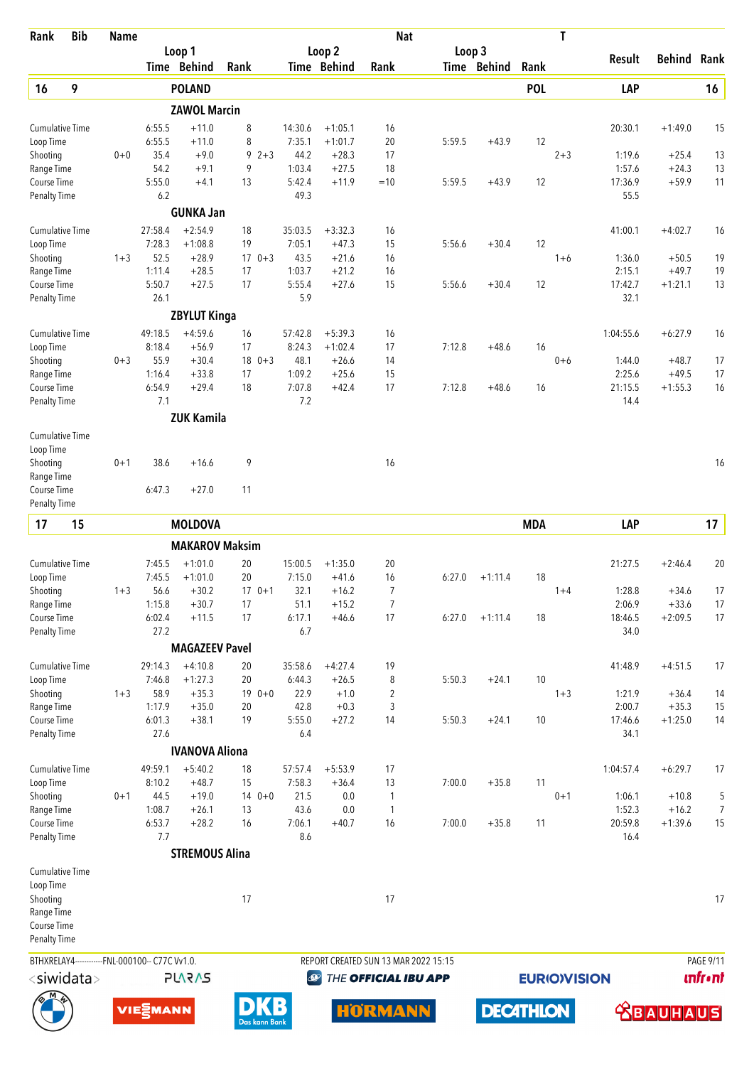| Rank                                | <b>Bib</b> | <b>Name</b> |                                                |                        |          |               |                   |                              | <b>Nat</b>           |                                      |                  |            | T                   |                   |                      |                |
|-------------------------------------|------------|-------------|------------------------------------------------|------------------------|----------|---------------|-------------------|------------------------------|----------------------|--------------------------------------|------------------|------------|---------------------|-------------------|----------------------|----------------|
|                                     |            |             |                                                | Loop 1                 |          |               |                   | Loop 2<br><b>Time Behind</b> |                      | Loop 3                               |                  |            |                     | Result            | <b>Behind</b>        | Rank           |
|                                     |            |             |                                                | Time Behind            | Rank     |               |                   |                              | Rank                 |                                      | Time Behind      | Rank       |                     |                   |                      |                |
| 16                                  | 9          |             |                                                | <b>POLAND</b>          |          |               |                   |                              |                      |                                      |                  | <b>POL</b> |                     | LAP               |                      | 16             |
|                                     |            |             |                                                | <b>ZAWOL Marcin</b>    |          |               |                   |                              |                      |                                      |                  |            |                     |                   |                      |                |
| <b>Cumulative Time</b><br>Loop Time |            |             | 6:55.5<br>6:55.5                               | $+11.0$<br>$+11.0$     | 8<br>8   |               | 14:30.6<br>7:35.1 | $+1:05.1$<br>$+1:01.7$       | 16<br>20             | 5:59.5                               | $+43.9$          | 12         |                     | 20:30.1           | $+1:49.0$            | 15             |
| Shooting                            |            | $0 + 0$     | 35.4                                           | $+9.0$                 | 9        | $2 + 3$       | 44.2              | $+28.3$                      | 17                   |                                      |                  |            | $2 + 3$             | 1:19.6            | $+25.4$              | 13             |
| Range Time                          |            |             | 54.2                                           | $+9.1$                 | 9        |               | 1:03.4            | $+27.5$                      | 18                   |                                      |                  |            |                     | 1:57.6            | $+24.3$              | 13             |
| Course Time                         |            |             | 5:55.0                                         | $+4.1$                 | 13       |               | 5:42.4            | $+11.9$                      | $=10$                | 5:59.5                               | $+43.9$          | 12         |                     | 17:36.9           | $+59.9$              | 11             |
| <b>Penalty Time</b>                 |            |             | 6.2                                            |                        |          |               | 49.3              |                              |                      |                                      |                  |            |                     | 55.5              |                      |                |
|                                     |            |             |                                                | <b>GUNKA Jan</b>       |          |               |                   |                              |                      |                                      |                  |            |                     |                   |                      |                |
| <b>Cumulative Time</b>              |            |             | 27:58.4                                        | $+2:54.9$              | 18       |               | 35:03.5           | $+3:32.3$                    | 16                   |                                      |                  |            |                     | 41:00.1           | $+4:02.7$            | 16             |
| Loop Time                           |            |             | 7:28.3                                         | $+1:08.8$              | 19       |               | 7:05.1            | $+47.3$                      | 15                   | 5:56.6                               | $+30.4$          | 12         |                     |                   |                      |                |
| Shooting                            |            | $1 + 3$     | 52.5<br>1:11.4                                 | $+28.9$                |          | $170+3$       | 43.5              | $+21.6$                      | 16                   |                                      |                  |            | $1 + 6$             | 1:36.0            | $+50.5$              | 19             |
| Range Time<br>Course Time           |            |             | 5:50.7                                         | $+28.5$<br>$+27.5$     | 17<br>17 |               | 1:03.7<br>5:55.4  | $+21.2$<br>$+27.6$           | 16<br>15             | 5:56.6                               | $+30.4$          | 12         |                     | 2:15.1<br>17:42.7 | $+49.7$<br>$+1:21.1$ | 19<br>13       |
| <b>Penalty Time</b>                 |            |             | 26.1                                           |                        |          |               | 5.9               |                              |                      |                                      |                  |            |                     | 32.1              |                      |                |
|                                     |            |             |                                                | <b>ZBYLUT Kinga</b>    |          |               |                   |                              |                      |                                      |                  |            |                     |                   |                      |                |
| <b>Cumulative Time</b>              |            |             | 49:18.5                                        | $+4:59.6$              | 16       |               | 57:42.8           | $+5:39.3$                    | 16                   |                                      |                  |            |                     | 1:04:55.6         | $+6:27.9$            | 16             |
| Loop Time                           |            |             | 8:18.4                                         | $+56.9$                | 17       |               | 8:24.3            | $+1:02.4$                    | 17                   | 7:12.8                               | $+48.6$          | 16         |                     |                   |                      |                |
| Shooting                            |            | $0 + 3$     | 55.9                                           | $+30.4$                |          | $18 \t 0+3$   | 48.1              | $+26.6$                      | 14                   |                                      |                  |            | $0 + 6$             | 1:44.0            | $+48.7$              | 17             |
| Range Time                          |            |             | 1:16.4                                         | $+33.8$                | 17       |               | 1:09.2            | $+25.6$                      | 15                   |                                      |                  |            |                     | 2:25.6            | $+49.5$              | 17             |
| Course Time                         |            |             | 6:54.9                                         | $+29.4$                | 18       |               | 7:07.8            | $+42.4$                      | 17                   | 7:12.8                               | $+48.6$          | 16         |                     | 21:15.5           | $+1:55.3$            | 16             |
| <b>Penalty Time</b>                 |            |             | 7.1                                            |                        |          |               | 7.2               |                              |                      |                                      |                  |            |                     | 14.4              |                      |                |
|                                     |            |             |                                                | <b>ZUK Kamila</b>      |          |               |                   |                              |                      |                                      |                  |            |                     |                   |                      |                |
| <b>Cumulative Time</b>              |            |             |                                                |                        |          |               |                   |                              |                      |                                      |                  |            |                     |                   |                      |                |
| Loop Time                           |            |             |                                                |                        |          |               |                   |                              |                      |                                      |                  |            |                     |                   |                      |                |
| Shooting<br>Range Time              |            | $0 + 1$     | 38.6                                           | $+16.6$                | 9        |               |                   |                              | 16                   |                                      |                  |            |                     |                   |                      | 16             |
| Course Time                         |            |             | 6:47.3                                         | $+27.0$                | 11       |               |                   |                              |                      |                                      |                  |            |                     |                   |                      |                |
| <b>Penalty Time</b>                 |            |             |                                                |                        |          |               |                   |                              |                      |                                      |                  |            |                     |                   |                      |                |
| 17                                  | 15         |             |                                                | <b>MOLDOVA</b>         |          |               |                   |                              |                      |                                      |                  | <b>MDA</b> |                     | LAP               |                      | 17             |
|                                     |            |             |                                                |                        |          |               |                   |                              |                      |                                      |                  |            |                     |                   |                      |                |
|                                     |            |             |                                                | <b>MAKAROV Maksim</b>  |          |               |                   |                              |                      |                                      |                  |            |                     |                   |                      |                |
| <b>Cumulative Time</b><br>Loop Time |            |             | 7:45.5<br>7:45.5                               | $+1:01.0$<br>$+1:01.0$ | 20<br>20 |               | 15:00.5<br>7:15.0 | $+1:35.0$<br>$+41.6$         | 20<br>16             | 6:27.0                               | $+1:11.4$        | 18         |                     | 21:27.5           | $+2:46.4$            | 20             |
| Shooting                            |            | $1 + 3$     | 56.6                                           | $+30.2$                |          | $170+1$       | 32.1              | $+16.2$                      | 7                    |                                      |                  |            | $1 + 4$             | 1:28.8            | $+34.6$              | 17             |
| Range Time                          |            |             | 1:15.8                                         | $+30.7$                | 17       |               | 51.1              | $+15.2$                      | 7                    |                                      |                  |            |                     | 2:06.9            | $+33.6$              | 17             |
| Course Time                         |            |             | 6:02.4                                         | $+11.5$                | 17       |               | 6:17.1            | $+46.6$                      | 17                   | 6:27.0                               | $+1:11.4$        | 18         |                     | 18:46.5           | $+2:09.5$            | 17             |
| <b>Penalty Time</b>                 |            |             | 27.2                                           |                        |          |               | 6.7               |                              |                      |                                      |                  |            |                     | 34.0              |                      |                |
|                                     |            |             |                                                | <b>MAGAZEEV Pavel</b>  |          |               |                   |                              |                      |                                      |                  |            |                     |                   |                      |                |
| <b>Cumulative Time</b>              |            |             | 29:14.3                                        | $+4:10.8$              | 20       |               | 35:58.6           | $+4:27.4$                    | 19                   |                                      |                  |            |                     | 41:48.9           | $+4:51.5$            | 17             |
| Loop Time                           |            |             | 7:46.8                                         | $+1:27.3$              | 20       |               | 6:44.3            | $+26.5$                      | 8                    | 5:50.3                               | $+24.1$          | 10         |                     |                   |                      |                |
| Shooting                            |            | $1 + 3$     | 58.9                                           | $+35.3$                |          | $190+0$       | 22.9              | $+1.0$                       | $\overline{2}$       |                                      |                  |            | $1 + 3$             | 1:21.9            | $+36.4$              | 14             |
| Range Time<br>Course Time           |            |             | 1:17.9<br>6:01.3                               | $+35.0$<br>$+38.1$     | 20<br>19 |               | 42.8<br>5:55.0    | $+0.3$<br>$+27.2$            | 3<br>14              | 5:50.3                               | $+24.1$          | 10         |                     | 2:00.7<br>17:46.6 | $+35.3$<br>$+1:25.0$ | 15<br>14       |
| <b>Penalty Time</b>                 |            |             | 27.6                                           |                        |          |               | 6.4               |                              |                      |                                      |                  |            |                     | 34.1              |                      |                |
|                                     |            |             |                                                | <b>IVANOVA Aliona</b>  |          |               |                   |                              |                      |                                      |                  |            |                     |                   |                      |                |
| <b>Cumulative Time</b>              |            |             | 49:59.1                                        | $+5:40.2$              | 18       |               | 57:57.4           | $+5:53.9$                    | 17                   |                                      |                  |            |                     | 1:04:57.4         | $+6:29.7$            | 17             |
| Loop Time                           |            |             | 8:10.2                                         | $+48.7$                | 15       |               | 7:58.3            | $+36.4$                      | 13                   | 7:00.0                               | $+35.8$          | 11         |                     |                   |                      |                |
| Shooting                            |            | $0 + 1$     | 44.5                                           | $+19.0$                |          | $140+0$       | 21.5              | 0.0                          | 1                    |                                      |                  |            | $0 + 1$             | 1:06.1            | $+10.8$              | 5              |
| Range Time                          |            |             | 1:08.7                                         | $+26.1$                | 13       |               | 43.6              | 0.0                          | 1                    |                                      |                  |            |                     | 1:52.3            | $+16.2$              | $\overline{7}$ |
| Course Time                         |            |             | 6:53.7                                         | $+28.2$                | 16       |               | 7:06.1            | $+40.7$                      | 16                   | 7:00.0                               | $+35.8$          | 11         |                     | 20:59.8           | $+1:39.6$            | 15             |
| <b>Penalty Time</b>                 |            |             | 7.7                                            |                        |          |               | 8.6               |                              |                      |                                      |                  |            |                     | 16.4              |                      |                |
|                                     |            |             |                                                | <b>STREMOUS Alina</b>  |          |               |                   |                              |                      |                                      |                  |            |                     |                   |                      |                |
| <b>Cumulative Time</b>              |            |             |                                                |                        |          |               |                   |                              |                      |                                      |                  |            |                     |                   |                      |                |
| Loop Time                           |            |             |                                                |                        |          |               |                   |                              |                      |                                      |                  |            |                     |                   |                      |                |
| Shooting                            |            |             |                                                |                        | 17       |               |                   |                              | 17                   |                                      |                  |            |                     |                   |                      | 17             |
| Range Time                          |            |             |                                                |                        |          |               |                   |                              |                      |                                      |                  |            |                     |                   |                      |                |
| Course Time<br><b>Penalty Time</b>  |            |             |                                                |                        |          |               |                   |                              |                      |                                      |                  |            |                     |                   |                      |                |
|                                     |            |             |                                                |                        |          |               |                   |                              |                      |                                      |                  |            |                     |                   |                      |                |
|                                     |            |             | BTHXRELAY4------------FNL-000100-- C77C Vv1.0. |                        |          |               |                   |                              |                      | REPORT CREATED SUN 13 MAR 2022 15:15 |                  |            |                     |                   |                      | PAGE 9/11      |
| $<$ siwidata $>$                    |            |             |                                                | <b>PLARAS</b>          |          |               | $\bigcirc$        |                              | THE OFFICIAL IBU APP |                                      |                  |            | <b>EURIO)VISION</b> |                   |                      | <b>unfront</b> |
|                                     |            |             | VIE EMANN                                      |                        |          |               | B                 |                              | <b>HORMANN</b>       |                                      | <b>DECATHLON</b> |            |                     |                   |                      |                |
|                                     |            |             |                                                |                        |          | Das kann Bank |                   |                              |                      |                                      |                  |            |                     |                   | <b>ABAUHAUS</b>      |                |





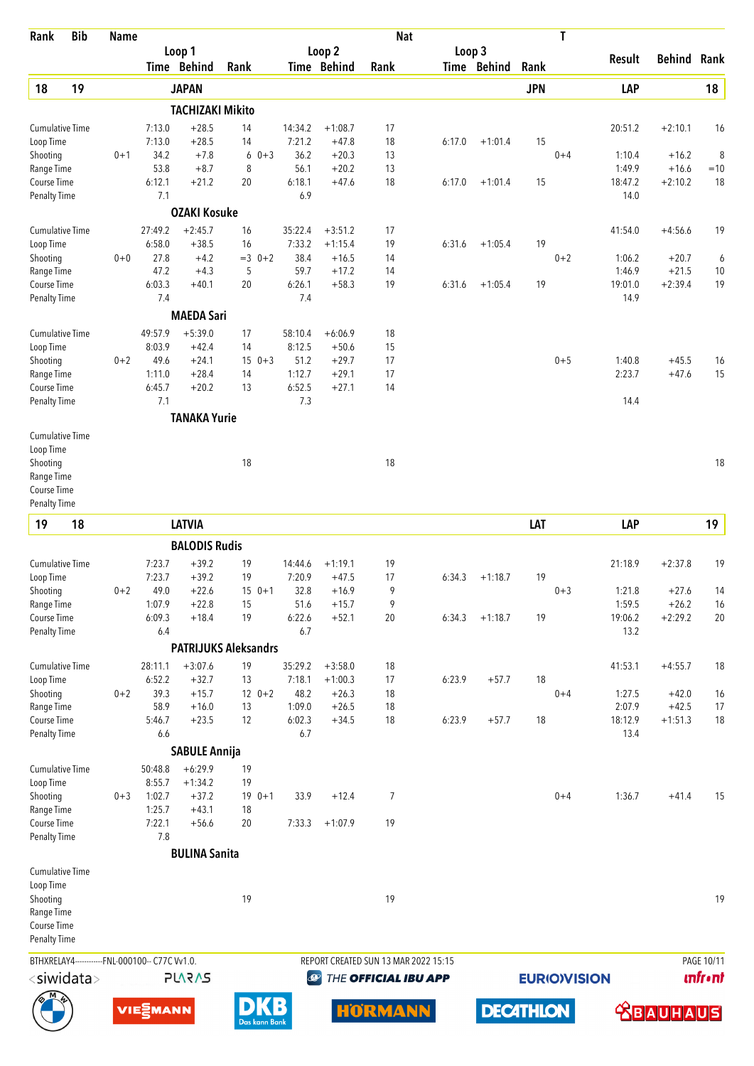| Rank                                           | <b>Bib</b> | <b>Name</b> |                  |                             |          |               |                   |                              | <b>Nat</b>           |                                      |                  |            | T                   |                   |                      |                 |
|------------------------------------------------|------------|-------------|------------------|-----------------------------|----------|---------------|-------------------|------------------------------|----------------------|--------------------------------------|------------------|------------|---------------------|-------------------|----------------------|-----------------|
|                                                |            |             |                  | Loop 1<br>Time Behind       | Rank     |               |                   | Loop 2<br><b>Time Behind</b> | Rank                 | Loop 3                               | Time Behind      | Rank       |                     | Result            | <b>Behind Rank</b>   |                 |
| 18                                             | 19         |             |                  | <b>JAPAN</b>                |          |               |                   |                              |                      |                                      |                  | <b>JPN</b> |                     | LAP               |                      | 18              |
|                                                |            |             |                  | <b>TACHIZAKI Mikito</b>     |          |               |                   |                              |                      |                                      |                  |            |                     |                   |                      |                 |
| <b>Cumulative Time</b>                         |            |             | 7:13.0           | $+28.5$                     | 14       |               | 14:34.2           | $+1:08.7$                    | 17                   |                                      |                  |            |                     | 20:51.2           | $+2:10.1$            | 16              |
| Loop Time                                      |            |             | 7:13.0           | $+28.5$                     | 14       |               | 7:21.2            | $+47.8$                      | 18                   | 6:17.0                               | $+1:01.4$        | 15         |                     |                   |                      |                 |
| Shooting                                       |            | $0 + 1$     | 34.2             | $+7.8$                      | 6        | $0 + 3$       | 36.2              | $+20.3$                      | 13                   |                                      |                  |            | $0 + 4$             | 1:10.4            | $+16.2$              | 8               |
| Range Time<br>Course Time                      |            |             | 53.8<br>6:12.1   | $+8.7$<br>$+21.2$           | 8<br>20  |               | 56.1<br>6:18.1    | $+20.2$<br>$+47.6$           | 13<br>18             | 6:17.0                               | $+1:01.4$        | 15         |                     | 1:49.9<br>18:47.2 | $+16.6$<br>$+2:10.2$ | $=10$<br>18     |
| <b>Penalty Time</b>                            |            |             | 7.1              |                             |          |               | 6.9               |                              |                      |                                      |                  |            |                     | 14.0              |                      |                 |
|                                                |            |             |                  | <b>OZAKI Kosuke</b>         |          |               |                   |                              |                      |                                      |                  |            |                     |                   |                      |                 |
| <b>Cumulative Time</b>                         |            |             | 27:49.2          | $+2:45.7$                   | 16       |               | 35:22.4           | $+3:51.2$                    | 17                   |                                      |                  |            |                     | 41:54.0           | $+4:56.6$            | 19              |
| Loop Time                                      |            |             | 6:58.0           | $+38.5$                     | 16       |               | 7:33.2            | $+1:15.4$                    | 19                   | 6:31.6                               | $+1:05.4$        | 19         |                     |                   |                      |                 |
| Shooting                                       |            | $0 + 0$     | 27.8<br>47.2     | $+4.2$<br>$+4.3$            | 5        | $=3$ 0+2      | 38.4<br>59.7      | $+16.5$<br>$+17.2$           | 14<br>14             |                                      |                  |            | $0 + 2$             | 1:06.2<br>1:46.9  | $+20.7$<br>$+21.5$   | 6<br>10         |
| Range Time<br>Course Time                      |            |             | 6:03.3           | $+40.1$                     | 20       |               | 6:26.1            | $+58.3$                      | 19                   | 6:31.6                               | $+1:05.4$        | 19         |                     | 19:01.0           | $+2:39.4$            | 19              |
| <b>Penalty Time</b>                            |            |             | 7.4              |                             |          |               | 7.4               |                              |                      |                                      |                  |            |                     | 14.9              |                      |                 |
|                                                |            |             |                  | <b>MAEDA Sari</b>           |          |               |                   |                              |                      |                                      |                  |            |                     |                   |                      |                 |
| <b>Cumulative Time</b>                         |            |             | 49:57.9          | $+5:39.0$                   | 17       |               | 58:10.4           | $+6:06.9$                    | 18                   |                                      |                  |            |                     |                   |                      |                 |
| Loop Time                                      |            |             | 8:03.9           | $+42.4$                     | 14       |               | 8:12.5            | $+50.6$                      | 15                   |                                      |                  |            |                     |                   |                      |                 |
| Shooting                                       |            | $0 + 2$     | 49.6             | $+24.1$                     |          | $150+3$       | 51.2              | $+29.7$                      | 17                   |                                      |                  |            | $0 + 5$             | 1:40.8            | $+45.5$              | 16              |
| Range Time<br>Course Time                      |            |             | 1:11.0<br>6:45.7 | $+28.4$<br>$+20.2$          | 14<br>13 |               | 1:12.7<br>6:52.5  | $+29.1$<br>$+27.1$           | 17<br>14             |                                      |                  |            |                     | 2:23.7            | $+47.6$              | 15              |
| <b>Penalty Time</b>                            |            |             | 7.1              |                             |          |               | 7.3               |                              |                      |                                      |                  |            |                     | 14.4              |                      |                 |
|                                                |            |             |                  | <b>TANAKA Yurie</b>         |          |               |                   |                              |                      |                                      |                  |            |                     |                   |                      |                 |
| <b>Cumulative Time</b>                         |            |             |                  |                             |          |               |                   |                              |                      |                                      |                  |            |                     |                   |                      |                 |
| Loop Time                                      |            |             |                  |                             |          |               |                   |                              |                      |                                      |                  |            |                     |                   |                      |                 |
| Shooting                                       |            |             |                  |                             | 18       |               |                   |                              | 18                   |                                      |                  |            |                     |                   |                      | 18              |
| Range Time                                     |            |             |                  |                             |          |               |                   |                              |                      |                                      |                  |            |                     |                   |                      |                 |
| Course Time<br><b>Penalty Time</b>             |            |             |                  |                             |          |               |                   |                              |                      |                                      |                  |            |                     |                   |                      |                 |
| 19                                             | 18         |             |                  | <b>LATVIA</b>               |          |               |                   |                              |                      |                                      |                  | LAT        |                     | LAP               |                      | 19              |
|                                                |            |             |                  |                             |          |               |                   |                              |                      |                                      |                  |            |                     |                   |                      |                 |
|                                                |            |             |                  | <b>BALODIS Rudis</b>        |          |               |                   |                              |                      |                                      |                  |            |                     |                   |                      |                 |
| <b>Cumulative Time</b><br>Loop Time            |            |             | 7:23.7<br>7:23.7 | $+39.2$<br>$+39.2$          | 19<br>19 |               | 14:44.6<br>7:20.9 | $+1:19.1$<br>$+47.5$         | 19<br>17             | 6:34.3                               | $+1:18.7$        | 19         |                     | 21:18.9           | $+2:37.8$            | 19              |
| Shooting                                       |            | $0 + 2$     | 49.0             | $+22.6$                     |          | $150+1$       | 32.8              | $+16.9$                      | 9                    |                                      |                  |            | $0 + 3$             | 1:21.8            | $+27.6$              | 14              |
| Range Time                                     |            |             | 1:07.9           | $+22.8$                     | 15       |               | 51.6              | $+15.7$                      | 9                    |                                      |                  |            |                     | 1:59.5            | $+26.2$              | 16              |
| Course Time                                    |            |             | 6:09.3           | $+18.4$                     | 19       |               | 6:22.6            | $+52.1$                      | 20                   | 6:34.3                               | $+1:18.7$        | 19         |                     | 19:06.2           | $+2:29.2$            | 20              |
| <b>Penalty Time</b>                            |            |             | 6.4              |                             |          |               | 6.7               |                              |                      |                                      |                  |            |                     | 13.2              |                      |                 |
|                                                |            |             |                  | <b>PATRIJUKS Aleksandrs</b> |          |               |                   |                              |                      |                                      |                  |            |                     |                   |                      |                 |
| <b>Cumulative Time</b>                         |            |             | 28:11.1          | $+3:07.6$                   | 19       |               | 35:29.2           | $+3:58.0$                    | 18                   |                                      |                  |            |                     | 41:53.1           | $+4:55.7$            | 18              |
| Loop Time                                      |            | $0 + 2$     | 6:52.2<br>39.3   | $+32.7$<br>$+15.7$          | 13       | $12 \t 0+2$   | 7:18.1<br>48.2    | $+1:00.3$                    | 17                   | 6:23.9                               | $+57.7$          | 18         | $0 + 4$             |                   |                      |                 |
| Shooting<br>Range Time                         |            |             | 58.9             | $+16.0$                     | 13       |               | 1:09.0            | $+26.3$<br>$+26.5$           | 18<br>18             |                                      |                  |            |                     | 1:27.5<br>2:07.9  | $+42.0$<br>$+42.5$   | 16<br>17        |
| Course Time                                    |            |             | 5:46.7           | $+23.5$                     | 12       |               | 6:02.3            | $+34.5$                      | 18                   | 6:23.9                               | $+57.7$          | 18         |                     | 18:12.9           | $+1:51.3$            | 18              |
| Penalty Time                                   |            |             | 6.6              |                             |          |               | 6.7               |                              |                      |                                      |                  |            |                     | 13.4              |                      |                 |
|                                                |            |             |                  | <b>SABULE Annija</b>        |          |               |                   |                              |                      |                                      |                  |            |                     |                   |                      |                 |
| <b>Cumulative Time</b>                         |            |             | 50:48.8          | $+6:29.9$                   | 19       |               |                   |                              |                      |                                      |                  |            |                     |                   |                      |                 |
| Loop Time                                      |            |             | 8:55.7           | $+1:34.2$                   | 19       |               |                   |                              |                      |                                      |                  |            |                     |                   |                      |                 |
| Shooting<br>Range Time                         |            | $0 + 3$     | 1:02.7<br>1:25.7 | $+37.2$<br>$+43.1$          | 18       | $190+1$       | 33.9              | $+12.4$                      | 7                    |                                      |                  |            | $0 + 4$             | 1:36.7            | $+41.4$              | 15              |
| Course Time                                    |            |             | 7:22.1           | $+56.6$                     | 20       |               | 7:33.3            | $+1:07.9$                    | 19                   |                                      |                  |            |                     |                   |                      |                 |
| <b>Penalty Time</b>                            |            |             | 7.8              |                             |          |               |                   |                              |                      |                                      |                  |            |                     |                   |                      |                 |
|                                                |            |             |                  | <b>BULINA Sanita</b>        |          |               |                   |                              |                      |                                      |                  |            |                     |                   |                      |                 |
| <b>Cumulative Time</b>                         |            |             |                  |                             |          |               |                   |                              |                      |                                      |                  |            |                     |                   |                      |                 |
| Loop Time                                      |            |             |                  |                             |          |               |                   |                              |                      |                                      |                  |            |                     |                   |                      |                 |
| Shooting<br>Range Time                         |            |             |                  |                             | 19       |               |                   |                              | 19                   |                                      |                  |            |                     |                   |                      | 19              |
| Course Time                                    |            |             |                  |                             |          |               |                   |                              |                      |                                      |                  |            |                     |                   |                      |                 |
| Penalty Time                                   |            |             |                  |                             |          |               |                   |                              |                      |                                      |                  |            |                     |                   |                      |                 |
| BTHXRELAY4------------FNL-000100-- C77C Vv1.0. |            |             |                  |                             |          |               |                   |                              |                      | REPORT CREATED SUN 13 MAR 2022 15:15 |                  |            |                     |                   |                      | PAGE 10/11      |
| $<$ siwidata $>$                               |            |             |                  | <b>PLARAS</b>               |          |               | $\bigcirc$        |                              | THE OFFICIAL IBU APP |                                      |                  |            | <b>EURIO)VISION</b> |                   |                      | <b>unfr</b> •nt |
|                                                |            |             |                  |                             |          |               |                   |                              |                      |                                      |                  |            |                     |                   |                      |                 |
|                                                |            |             | VIESMANN         |                             |          | Das kann Bank |                   |                              | HORMANN              |                                      | <b>DECATHLON</b> |            |                     |                   | <b> SBAUHAUS</b>     |                 |